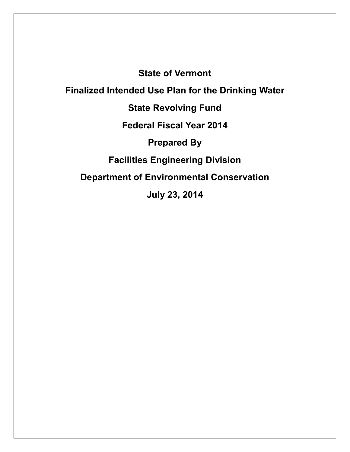**State of Vermont**

**Finalized Intended Use Plan for the Drinking Water**

**State Revolving Fund**

**Federal Fiscal Year 2014**

**Prepared By**

**Facilities Engineering Division**

**Department of Environmental Conservation**

**July 23, 2014**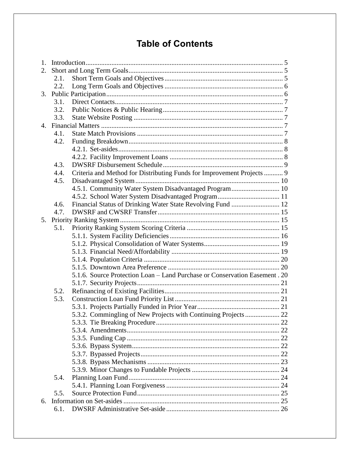# **Table of Contents**

| Criteria and Method for Distributing Funds for Improvement Projects  9      |
|-----------------------------------------------------------------------------|
|                                                                             |
| 4.5.1. Community Water System Disadvantaged Program 10                      |
|                                                                             |
|                                                                             |
|                                                                             |
|                                                                             |
|                                                                             |
|                                                                             |
|                                                                             |
|                                                                             |
|                                                                             |
|                                                                             |
| 5.1.6. Source Protection Loan - Land Purchase or Conservation Easement . 20 |
|                                                                             |
|                                                                             |
|                                                                             |
|                                                                             |
| 5.3.2. Commingling of New Projects with Continuing Projects 22              |
|                                                                             |
|                                                                             |
|                                                                             |
|                                                                             |
|                                                                             |
|                                                                             |
|                                                                             |
|                                                                             |
|                                                                             |
|                                                                             |
|                                                                             |
|                                                                             |
|                                                                             |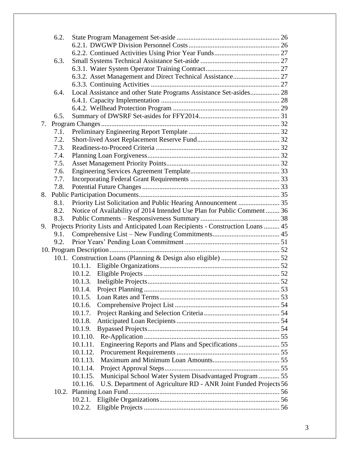|    | 6.2. |                                                                                  |  |
|----|------|----------------------------------------------------------------------------------|--|
|    |      |                                                                                  |  |
|    |      |                                                                                  |  |
|    | 6.3. |                                                                                  |  |
|    |      |                                                                                  |  |
|    |      |                                                                                  |  |
|    | 6.4. | Local Assistance and other State Programs Assistance Set-asides 28               |  |
|    |      |                                                                                  |  |
|    |      |                                                                                  |  |
|    | 6.5. |                                                                                  |  |
| 7. |      |                                                                                  |  |
|    | 7.1. |                                                                                  |  |
|    | 7.2. |                                                                                  |  |
|    | 7.3. |                                                                                  |  |
|    | 7.4. |                                                                                  |  |
|    | 7.5. |                                                                                  |  |
|    | 7.6. |                                                                                  |  |
|    | 7.7. |                                                                                  |  |
|    | 7.8. |                                                                                  |  |
|    |      |                                                                                  |  |
|    | 8.1. |                                                                                  |  |
|    | 8.2. | Notice of Availability of 2014 Intended Use Plan for Public Comment 36           |  |
|    | 8.3. |                                                                                  |  |
| 9. |      | Projects Priority Lists and Anticipated Loan Recipients - Construction Loans  45 |  |
|    | 9.1. |                                                                                  |  |
|    | 9.2. |                                                                                  |  |
|    |      |                                                                                  |  |
|    |      |                                                                                  |  |
|    |      | 10.1.1.                                                                          |  |
|    |      |                                                                                  |  |
|    |      |                                                                                  |  |
|    |      |                                                                                  |  |
|    |      | 10.1.5.                                                                          |  |
|    |      | 10.1.6.                                                                          |  |
|    |      | 10.1.7.                                                                          |  |
|    |      | 10.1.8.                                                                          |  |
|    |      | 10.1.9.                                                                          |  |
|    |      | 10.1.10.                                                                         |  |
|    |      | 10.1.11.                                                                         |  |
|    |      | 10.1.12.                                                                         |  |
|    |      | 10.1.13.                                                                         |  |
|    |      | 10.1.14.                                                                         |  |
|    |      | Municipal School Water System Disadvantaged Program  55<br>10.1.15.              |  |
|    |      | 10.1.16.<br>U.S. Department of Agriculture RD - ANR Joint Funded Projects 56     |  |
|    |      |                                                                                  |  |
|    |      | 10.2.1.                                                                          |  |
|    |      | 10.2.2.                                                                          |  |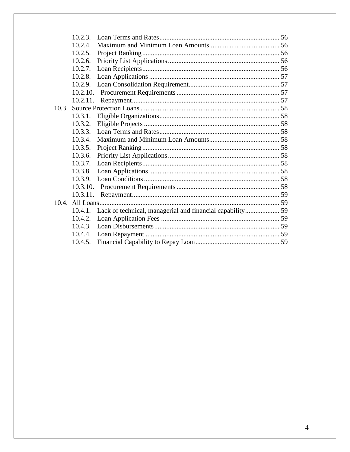|       | 10.2.3.  |  |
|-------|----------|--|
|       | 10.2.4.  |  |
|       | 10.2.5.  |  |
|       | 10.2.6.  |  |
|       | 10.2.7.  |  |
|       | 10.2.8.  |  |
|       |          |  |
|       | 10.2.10. |  |
|       | 10.2.11. |  |
| 10.3. |          |  |
|       | 10.3.1.  |  |
|       | 10.3.2.  |  |
|       |          |  |
|       | 10.3.4.  |  |
|       | 10.3.5.  |  |
|       | 10.3.6.  |  |
|       | 10.3.7.  |  |
|       | 10.3.8.  |  |
|       |          |  |
|       | 10.3.10. |  |
|       |          |  |
|       |          |  |
|       | 10.4.1.  |  |
|       | 10.4.2.  |  |
|       |          |  |
|       |          |  |
|       | 10.4.5.  |  |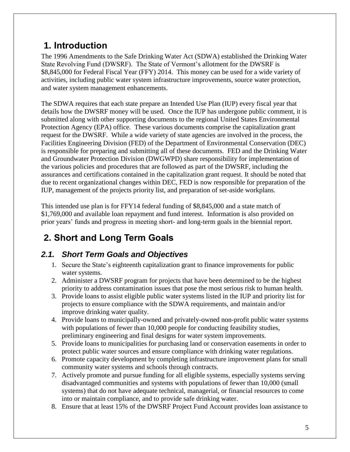# <span id="page-4-0"></span>**1. Introduction**

The 1996 Amendments to the Safe Drinking Water Act (SDWA) established the Drinking Water State Revolving Fund (DWSRF). The State of Vermont's allotment for the DWSRF is \$8,845,000 for Federal Fiscal Year (FFY) 2014. This money can be used for a wide variety of activities, including public water system infrastructure improvements, source water protection, and water system management enhancements.

The SDWA requires that each state prepare an Intended Use Plan (IUP) every fiscal year that details how the DWSRF money will be used. Once the IUP has undergone public comment, it is submitted along with other supporting documents to the regional United States Environmental Protection Agency (EPA) office. These various documents comprise the capitalization grant request for the DWSRF. While a wide variety of state agencies are involved in the process, the Facilities Engineering Division (FED) of the Department of Environmental Conservation (DEC) is responsible for preparing and submitting all of these documents. FED and the Drinking Water and Groundwater Protection Division (DWGWPD) share responsibility for implementation of the various policies and procedures that are followed as part of the DWSRF, including the assurances and certifications contained in the capitalization grant request. It should be noted that due to recent organizational changes within DEC, FED is now responsible for preparation of the IUP, management of the projects priority list, and preparation of set-aside workplans.

This intended use plan is for FFY14 federal funding of \$8,845,000 and a state match of \$1,769,000 and available loan repayment and fund interest. Information is also provided on prior years' funds and progress in meeting short- and long-term goals in the biennial report.

# <span id="page-4-1"></span>**2. Short and Long Term Goals**

## <span id="page-4-2"></span>*2.1. Short Term Goals and Objectives*

- 1. Secure the State's eighteenth capitalization grant to finance improvements for public water systems.
- 2. Administer a DWSRF program for projects that have been determined to be the highest priority to address contamination issues that pose the most serious risk to human health.
- 3. Provide loans to assist eligible public water systems listed in the IUP and priority list for projects to ensure compliance with the SDWA requirements, and maintain and/or improve drinking water quality.
- 4. Provide loans to municipally-owned and privately-owned non-profit public water systems with populations of fewer than 10,000 people for conducting feasibility studies, preliminary engineering and final designs for water system improvements.
- 5. Provide loans to municipalities for purchasing land or conservation easements in order to protect public water sources and ensure compliance with drinking water regulations.
- 6. Promote capacity development by completing infrastructure improvement plans for small community water systems and schools through contracts.
- 7. Actively promote and pursue funding for all eligible systems, especially systems serving disadvantaged communities and systems with populations of fewer than 10,000 (small systems) that do not have adequate technical, managerial, or financial resources to come into or maintain compliance, and to provide safe drinking water.
- 8. Ensure that at least 15% of the DWSRF Project Fund Account provides loan assistance to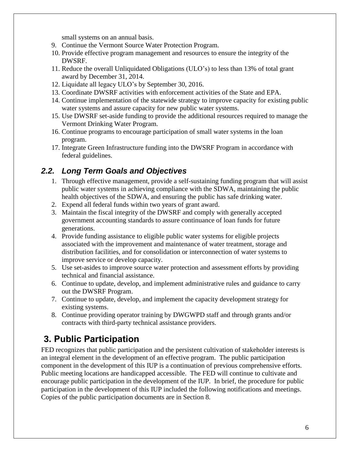small systems on an annual basis.

- 9. Continue the Vermont Source Water Protection Program.
- 10. Provide effective program management and resources to ensure the integrity of the DWSRF.
- 11. Reduce the overall Unliquidated Obligations (ULO's) to less than 13% of total grant award by December 31, 2014.
- 12. Liquidate all legacy ULO's by September 30, 2016.
- 13. Coordinate DWSRF activities with enforcement activities of the State and EPA.
- 14. Continue implementation of the statewide strategy to improve capacity for existing public water systems and assure capacity for new public water systems.
- 15. Use DWSRF set-aside funding to provide the additional resources required to manage the Vermont Drinking Water Program.
- 16. Continue programs to encourage participation of small water systems in the loan program.
- 17. Integrate Green Infrastructure funding into the DWSRF Program in accordance with federal guidelines.

#### <span id="page-5-0"></span>*2.2. Long Term Goals and Objectives*

- 1. Through effective management, provide a self-sustaining funding program that will assist public water systems in achieving compliance with the SDWA, maintaining the public health objectives of the SDWA, and ensuring the public has safe drinking water.
- 2. Expend all federal funds within two years of grant award.
- 3. Maintain the fiscal integrity of the DWSRF and comply with generally accepted government accounting standards to assure continuance of loan funds for future generations.
- 4. Provide funding assistance to eligible public water systems for eligible projects associated with the improvement and maintenance of water treatment, storage and distribution facilities, and for consolidation or interconnection of water systems to improve service or develop capacity.
- 5. Use set-asides to improve source water protection and assessment efforts by providing technical and financial assistance.
- 6. Continue to update, develop, and implement administrative rules and guidance to carry out the DWSRF Program.
- 7. Continue to update, develop, and implement the capacity development strategy for existing systems.
- 8. Continue providing operator training by DWGWPD staff and through grants and/or contracts with third-party technical assistance providers.

# <span id="page-5-1"></span>**3. Public Participation**

FED recognizes that public participation and the persistent cultivation of stakeholder interests is an integral element in the development of an effective program. The public participation component in the development of this IUP is a continuation of previous comprehensive efforts. Public meeting locations are handicapped accessible. The FED will continue to cultivate and encourage public participation in the development of the IUP. In brief, the procedure for public participation in the development of this IUP included the following notifications and meetings. Copies of the public participation documents are in Section 8.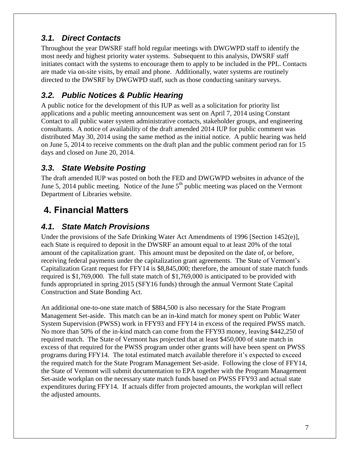### <span id="page-6-0"></span>*3.1. Direct Contacts*

Throughout the year DWSRF staff hold regular meetings with DWGWPD staff to identify the most needy and highest priority water systems. Subsequent to this analysis, DWSRF staff initiates contact with the systems to encourage them to apply to be included in the PPL. Contacts are made via on-site visits, by email and phone. Additionally, water systems are routinely directed to the DWSRF by DWGWPD staff, such as those conducting sanitary surveys.

### <span id="page-6-1"></span>*3.2. Public Notices & Public Hearing*

A public notice for the development of this IUP as well as a solicitation for priority list applications and a public meeting announcement was sent on April 7, 2014 using Constant Contact to all public water system administrative contacts, stakeholder groups, and engineering consultants. A notice of availability of the draft amended 2014 IUP for public comment was distributed May 30, 2014 using the same method as the initial notice. A public hearing was held on June 5, 2014 to receive comments on the draft plan and the public comment period ran for 15 days and closed on June 20, 2014.

### <span id="page-6-2"></span>*3.3. State Website Posting*

The draft amended IUP was posted on both the FED and DWGWPD websites in advance of the June 5, 2014 public meeting. Notice of the June 5<sup>th</sup> public meeting was placed on the Vermont Department of Libraries website.

# <span id="page-6-3"></span>**4. Financial Matters**

#### <span id="page-6-4"></span>*4.1. State Match Provisions*

Under the provisions of the Safe Drinking Water Act Amendments of 1996 [Section 1452(e)], each State is required to deposit in the DWSRF an amount equal to at least 20% of the total amount of the capitalization grant. This amount must be deposited on the date of, or before, receiving federal payments under the capitalization grant agreements. The State of Vermont's Capitalization Grant request for FFY14 is \$8,845,000; therefore, the amount of state match funds required is \$1,769,000. The full state match of \$1,769,000 is anticipated to be provided with funds appropriated in spring 2015 (SFY16 funds) through the annual Vermont State Capital Construction and State Bonding Act.

An additional one-to-one state match of \$884,500 is also necessary for the State Program Management Set-aside. This match can be an in-kind match for money spent on Public Water System Supervision (PWSS) work in FFY93 and FFY14 in excess of the required PWSS match. No more than 50% of the in-kind match can come from the FFY93 money, leaving \$442,250 of required match. The State of Vermont has projected that at least \$450,000 of state match in excess of that required for the PWSS program under other grants will have been spent on PWSS programs during FFY14. The total estimated match available therefore it's expected to exceed the required match for the State Program Management Set-aside. Following the close of FFY14, the State of Vermont will submit documentation to EPA together with the Program Management Set-aside workplan on the necessary state match funds based on PWSS FFY93 and actual state expenditures during FFY14. If actuals differ from projected amounts, the workplan will reflect the adjusted amounts.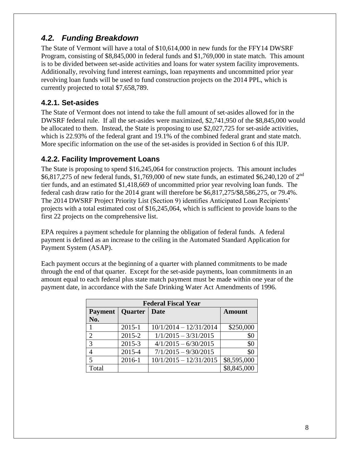## <span id="page-7-0"></span>*4.2. Funding Breakdown*

The State of Vermont will have a total of \$10,614,000 in new funds for the FFY14 DWSRF Program, consisting of \$8,845,000 in federal funds and \$1,769,000 in state match. This amount is to be divided between set-aside activities and loans for water system facility improvements. Additionally, revolving fund interest earnings, loan repayments and uncommitted prior year revolving loan funds will be used to fund construction projects on the 2014 PPL, which is currently projected to total \$7,658,789.

#### <span id="page-7-1"></span>**4.2.1. Set-asides**

The State of Vermont does not intend to take the full amount of set-asides allowed for in the DWSRF federal rule. If all the set-asides were maximized, \$2,741,950 of the \$8,845,000 would be allocated to them. Instead, the State is proposing to use \$2,027,725 for set-aside activities, which is 22.93% of the federal grant and 19.1% of the combined federal grant and state match. More specific information on the use of the set-asides is provided in Section 6 of this IUP.

#### <span id="page-7-2"></span>**4.2.2. Facility Improvement Loans**

The State is proposing to spend \$16,245,064 for construction projects. This amount includes \$6,817,275 of new federal funds, \$1,769,000 of new state funds, an estimated \$6,240,120 of 2nd tier funds, and an estimated \$1,418,669 of uncommitted prior year revolving loan funds. The federal cash draw ratio for the 2014 grant will therefore be \$6,817,275/\$8,586,275, or 79.4%. The 2014 DWSRF Project Priority List (Section 9) identifies Anticipated Loan Recipients' projects with a total estimated cost of \$16,245,064, which is sufficient to provide loans to the first 22 projects on the comprehensive list.

EPA requires a payment schedule for planning the obligation of federal funds. A federal payment is defined as an increase to the ceiling in the Automated Standard Application for Payment System (ASAP).

Each payment occurs at the beginning of a quarter with planned commitments to be made through the end of that quarter. Except for the set-aside payments, loan commitments in an amount equal to each federal plus state match payment must be made within one year of the payment date, in accordance with the Safe Drinking Water Act Amendments of 1996.

| <b>Federal Fiscal Year</b> |            |                          |               |  |  |  |  |
|----------------------------|------------|--------------------------|---------------|--|--|--|--|
| Payment                    | Quarter    | <b>Date</b>              | <b>Amount</b> |  |  |  |  |
| No.                        |            |                          |               |  |  |  |  |
|                            | $2015 - 1$ | $10/1/2014 - 12/31/2014$ | \$250,000     |  |  |  |  |
| $\mathfrak{D}$             | 2015-2     | $1/1/2015 - 3/31/2015$   | \$0           |  |  |  |  |
| 3                          | $2015 - 3$ | $4/1/2015 - 6/30/2015$   | \$0           |  |  |  |  |
| 4                          | 2015-4     | $7/1/2015 - 9/30/2015$   | \$0           |  |  |  |  |
| 5                          | 2016-1     | $10/1/2015 - 12/31/2015$ | \$8,595,000   |  |  |  |  |
| Total                      |            |                          | \$8,845,000   |  |  |  |  |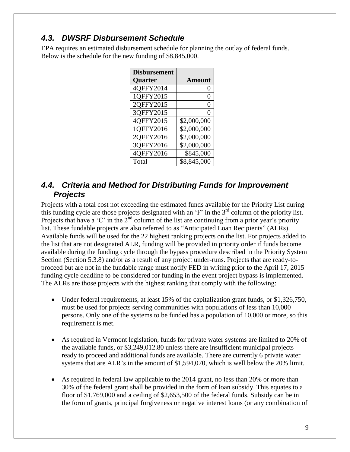#### <span id="page-8-0"></span>*4.3. DWSRF Disbursement Schedule*

EPA requires an estimated disbursement schedule for planning the outlay of federal funds. Below is the schedule for the new funding of \$8,845,000.

| <b>Disbursement</b> |                  |
|---------------------|------------------|
| <b>Quarter</b>      | <b>Amount</b>    |
| 4QFFY2014           | $\left( \right)$ |
| 1QFFY2015           | 0                |
| 2QFFY2015           | 0                |
| 3QFFY2015           | 0                |
| 40FFY2015           | \$2,000,000      |
| 1QFFY2016           | \$2,000,000      |
| 20FFY2016           | \$2,000,000      |
| 3QFFY2016           | \$2,000,000      |
| 4QFFY2016           | \$845,000        |
| Total               | \$8,845,000      |

#### <span id="page-8-1"></span>*4.4. Criteria and Method for Distributing Funds for Improvement Projects*

Projects with a total cost not exceeding the estimated funds available for the Priority List during this funding cycle are those projects designated with an 'F' in the 3rd column of the priority list. Projects that have a 'C' in the  $2<sup>nd</sup>$  column of the list are continuing from a prior year's priority list. These fundable projects are also referred to as "Anticipated Loan Recipients" (ALRs). Available funds will be used for the 22 highest ranking projects on the list. For projects added to the list that are not designated ALR, funding will be provided in priority order if funds become available during the funding cycle through the bypass procedure described in the Priority System Section (Section 5.3.8) and/or as a result of any project under-runs. Projects that are ready-toproceed but are not in the fundable range must notify FED in writing prior to the April 17, 2015 funding cycle deadline to be considered for funding in the event project bypass is implemented. The ALRs are those projects with the highest ranking that comply with the following:

- Under federal requirements, at least 15% of the capitalization grant funds, or \$1,326,750, must be used for projects serving communities with populations of less than 10,000 persons. Only one of the systems to be funded has a population of 10,000 or more, so this requirement is met.
- As required in Vermont legislation, funds for private water systems are limited to 20% of the available funds, or \$3,249,012.80 unless there are insufficient municipal projects ready to proceed and additional funds are available. There are currently 6 private water systems that are ALR's in the amount of \$1,594,070, which is well below the 20% limit.
- As required in federal law applicable to the 2014 grant, no less than 20% or more than 30% of the federal grant shall be provided in the form of loan subsidy. This equates to a floor of \$1,769,000 and a ceiling of \$2,653,500 of the federal funds. Subsidy can be in the form of grants, principal forgiveness or negative interest loans (or any combination of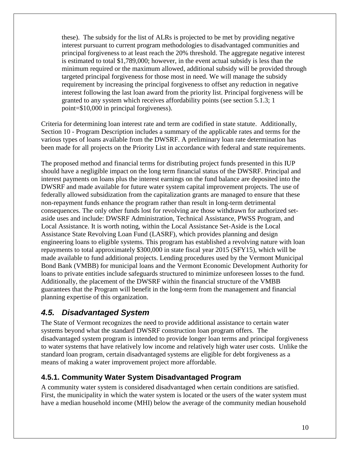these). The subsidy for the list of ALRs is projected to be met by providing negative interest pursuant to current program methodologies to disadvantaged communities and principal forgiveness to at least reach the 20% threshold. The aggregate negative interest is estimated to total \$1,789,000; however, in the event actual subsidy is less than the minimum required or the maximum allowed, additional subsidy will be provided through targeted principal forgiveness for those most in need. We will manage the subsidy requirement by increasing the principal forgiveness to offset any reduction in negative interest following the last loan award from the priority list. Principal forgiveness will be granted to any system which receives affordability points (see section 5.1.3; 1 point=\$10,000 in principal forgiveness).

Criteria for determining loan interest rate and term are codified in state statute. Additionally, Section 10 - Program Description includes a summary of the applicable rates and terms for the various types of loans available from the DWSRF. A preliminary loan rate determination has been made for all projects on the Priority List in accordance with federal and state requirements.

The proposed method and financial terms for distributing project funds presented in this IUP should have a negligible impact on the long term financial status of the DWSRF. Principal and interest payments on loans plus the interest earnings on the fund balance are deposited into the DWSRF and made available for future water system capital improvement projects. The use of federally allowed subsidization from the capitalization grants are managed to ensure that these non-repayment funds enhance the program rather than result in long-term detrimental consequences. The only other funds lost for revolving are those withdrawn for authorized setaside uses and include: DWSRF Administration, Technical Assistance, PWSS Program, and Local Assistance. It is worth noting, within the Local Assistance Set-Aside is the Local Assistance State Revolving Loan Fund (LASRF), which provides planning and design engineering loans to eligible systems. This program has established a revolving nature with loan repayments to total approximately \$300,000 in state fiscal year 2015 (SFY15), which will be made available to fund additional projects. Lending procedures used by the Vermont Municipal Bond Bank (VMBB) for municipal loans and the Vermont Economic Development Authority for loans to private entities include safeguards structured to minimize unforeseen losses to the fund. Additionally, the placement of the DWSRF within the financial structure of the VMBB guarantees that the Program will benefit in the long-term from the management and financial planning expertise of this organization.

#### <span id="page-9-0"></span>*4.5. Disadvantaged System*

The State of Vermont recognizes the need to provide additional assistance to certain water systems beyond what the standard DWSRF construction loan program offers. The disadvantaged system program is intended to provide longer loan terms and principal forgiveness to water systems that have relatively low income and relatively high water user costs. Unlike the standard loan program, certain disadvantaged systems are eligible for debt forgiveness as a means of making a water improvement project more affordable.

#### <span id="page-9-1"></span>**4.5.1. Community Water System Disadvantaged Program**

A community water system is considered disadvantaged when certain conditions are satisfied. First, the municipality in which the water system is located or the users of the water system must have a median household income (MHI) below the average of the community median household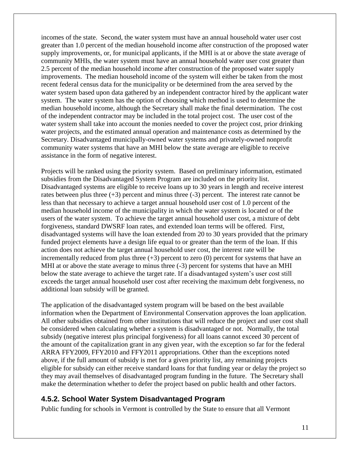incomes of the state. Second, the water system must have an annual household water user cost greater than 1.0 percent of the median household income after construction of the proposed water supply improvements, or, for municipal applicants, if the MHI is at or above the state average of community MHIs, the water system must have an annual household water user cost greater than 2.5 percent of the median household income after construction of the proposed water supply improvements. The median household income of the system will either be taken from the most recent federal census data for the municipality or be determined from the area served by the water system based upon data gathered by an independent contractor hired by the applicant water system. The water system has the option of choosing which method is used to determine the median household income, although the Secretary shall make the final determination. The cost of the independent contractor may be included in the total project cost. The user cost of the water system shall take into account the monies needed to cover the project cost, prior drinking water projects, and the estimated annual operation and maintenance costs as determined by the Secretary. Disadvantaged municipally-owned water systems and privately-owned nonprofit community water systems that have an MHI below the state average are eligible to receive assistance in the form of negative interest.

Projects will be ranked using the priority system. Based on preliminary information, estimated subsidies from the Disadvantaged System Program are included on the priority list. Disadvantaged systems are eligible to receive loans up to 30 years in length and receive interest rates between plus three  $(+3)$  percent and minus three  $(-3)$  percent. The interest rate cannot be less than that necessary to achieve a target annual household user cost of 1.0 percent of the median household income of the municipality in which the water system is located or of the users of the water system. To achieve the target annual household user cost, a mixture of debt forgiveness, standard DWSRF loan rates, and extended loan terms will be offered. First, disadvantaged systems will have the loan extended from 20 to 30 years provided that the primary funded project elements have a design life equal to or greater than the term of the loan. If this action does not achieve the target annual household user cost, the interest rate will be incrementally reduced from plus three  $(+3)$  percent to zero  $(0)$  percent for systems that have an MHI at or above the state average to minus three  $(-3)$  percent for systems that have an MHI below the state average to achieve the target rate. If a disadvantaged system's user cost still exceeds the target annual household user cost after receiving the maximum debt forgiveness, no additional loan subsidy will be granted.

The application of the disadvantaged system program will be based on the best available information when the Department of Environmental Conservation approves the loan application. All other subsidies obtained from other institutions that will reduce the project and user cost shall be considered when calculating whether a system is disadvantaged or not. Normally, the total subsidy (negative interest plus principal forgiveness) for all loans cannot exceed 30 percent of the amount of the capitalization grant in any given year, with the exception so far for the federal ARRA FFY2009, FFY2010 and FFY2011 appropriations. Other than the exceptions noted above, if the full amount of subsidy is met for a given priority list, any remaining projects eligible for subsidy can either receive standard loans for that funding year or delay the project so they may avail themselves of disadvantaged program funding in the future. The Secretary shall make the determination whether to defer the project based on public health and other factors.

#### <span id="page-10-0"></span>**4.5.2. School Water System Disadvantaged Program**

Public funding for schools in Vermont is controlled by the State to ensure that all Vermont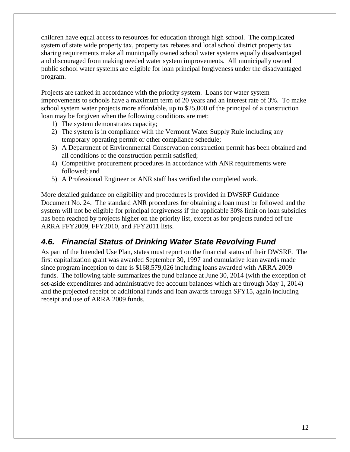children have equal access to resources for education through high school. The complicated system of state wide property tax, property tax rebates and local school district property tax sharing requirements make all municipally owned school water systems equally disadvantaged and discouraged from making needed water system improvements. All municipally owned public school water systems are eligible for loan principal forgiveness under the disadvantaged program.

Projects are ranked in accordance with the priority system. Loans for water system improvements to schools have a maximum term of 20 years and an interest rate of 3%. To make school system water projects more affordable, up to \$25,000 of the principal of a construction loan may be forgiven when the following conditions are met:

- 1) The system demonstrates capacity;
- 2) The system is in compliance with the Vermont Water Supply Rule including any temporary operating permit or other compliance schedule;
- 3) A Department of Environmental Conservation construction permit has been obtained and all conditions of the construction permit satisfied;
- 4) Competitive procurement procedures in accordance with ANR requirements were followed; and
- 5) A Professional Engineer or ANR staff has verified the completed work.

More detailed guidance on eligibility and procedures is provided in DWSRF Guidance Document No. 24. The standard ANR procedures for obtaining a loan must be followed and the system will not be eligible for principal forgiveness if the applicable 30% limit on loan subsidies has been reached by projects higher on the priority list, except as for projects funded off the ARRA FFY2009, FFY2010, and FFY2011 lists.

#### <span id="page-11-0"></span>*4.6. Financial Status of Drinking Water State Revolving Fund*

As part of the Intended Use Plan, states must report on the financial status of their DWSRF. The first capitalization grant was awarded September 30, 1997 and cumulative loan awards made since program inception to date is \$168,579,026 including loans awarded with ARRA 2009 funds. The following table summarizes the fund balance at June 30, 2014 (with the exception of set-aside expenditures and administrative fee account balances which are through May 1, 2014) and the projected receipt of additional funds and loan awards through SFY15, again including receipt and use of ARRA 2009 funds.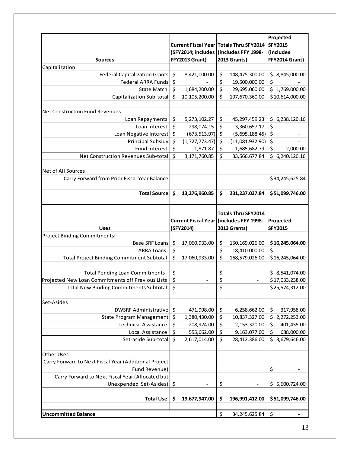|                                                       |         |                                         |                                        |                                         | Projected                      |
|-------------------------------------------------------|---------|-----------------------------------------|----------------------------------------|-----------------------------------------|--------------------------------|
|                                                       |         |                                         |                                        | Current Fiscal Year Totals Thru SFY2014 | <b>SFY2015</b>                 |
|                                                       |         |                                         | (SFY2014; includes (includes FFY 1998- |                                         | (includes                      |
| <b>Sources</b>                                        |         | FFY2013 Grant)                          |                                        | 2013 Grants)                            | FFY2014 Grant)                 |
| Capitalization:                                       |         |                                         |                                        |                                         |                                |
| <b>Federal Capitalization Grants</b>                  | \$      | 8,421,000.00                            | \$                                     | 148,475,300.00                          | \$<br>8,845,000.00             |
| <b>Federal ARRA Funds</b>                             | \$      |                                         | \$                                     | 19,500,000.00                           | \$                             |
| State Match                                           | \$      | 1,684,200.00                            | \$                                     | 29,695,060.00                           | \$<br>1,769,000.00             |
| Capitalization Sub-total                              | \$      | 10,105,200.00                           | \$                                     | 197,670,360.00                          | \$10,614,000.00                |
|                                                       |         |                                         |                                        |                                         |                                |
| <b>Net Construction Fund Revenues</b>                 |         |                                         |                                        |                                         |                                |
| Loan Repayments                                       | \$      | 5,273,102.27                            | \$                                     | 45,297,459.23                           | \$<br>6,238,120.16             |
| Loan Interest                                         | \$      | 298,074.15                              | \$                                     | 3,360,657.17                            | \$                             |
| Loan Negative Interest                                | \$      | (673, 513.97)                           | \$                                     | (5,695,188.45)                          | \$<br>$\overline{\phantom{a}}$ |
| Principal Subsidy                                     | \$      | (1,727,773.47)                          | \$                                     | (11,081,932.90)                         | \$<br>$\overline{\phantom{a}}$ |
| Fund Interest                                         | \$      | 1,871.87                                | \$                                     | 1,685,682.79                            | \$<br>2,000.00                 |
| Net Construction Revenues Sub-total                   | \$      | 3,171,760.85                            | \$                                     | 33,566,677.84                           | \$6,240,120.16                 |
|                                                       |         |                                         |                                        |                                         |                                |
| <b>Net of All Sources</b>                             |         |                                         |                                        |                                         |                                |
| Carry Forward from Prior Fiscal Year Balance          |         |                                         |                                        |                                         | \$34,245,625.84                |
|                                                       |         |                                         |                                        |                                         |                                |
| <b>Total Source</b>                                   | Ŝ.      | 13,276,960.85                           | \$                                     | 231, 237, 037.84                        | \$51,099,746.00                |
|                                                       |         |                                         |                                        |                                         |                                |
|                                                       |         |                                         |                                        | <b>Totals Thru SFY2014</b>              |                                |
|                                                       |         | Current Fiscal Year (includes FFY 1998- |                                        |                                         | Projected                      |
|                                                       |         |                                         |                                        |                                         |                                |
| <b>Uses</b>                                           |         | (SFY2014)                               |                                        | <b>2013 Grants)</b>                     | <b>SFY2015</b>                 |
| <b>Project Binding Commitments:</b>                   |         |                                         |                                        |                                         |                                |
| <b>Base SRF Loans</b>                                 | \$      | 17,060,933.00                           | \$                                     | 150,169,026.00                          | \$16,245,064.00                |
| <b>ARRA Loans</b>                                     | \$      |                                         | \$                                     | 18,410,000.00                           | \$                             |
| <b>Total Project Binding Commitment Subtotal</b>      | $\zeta$ | 17,060,933.00                           | \$                                     | 168,579,026.00                          | \$16,245,064.00                |
|                                                       |         |                                         |                                        |                                         |                                |
| <b>Total Pending Loan Commitments</b>                 | \$      |                                         | \$                                     |                                         | \$8,541,074.00                 |
| Projected New Loan Commitments off Previous Lists     | \$      |                                         | \$                                     |                                         | \$17,033,238.00                |
| <b>Total New Binding Commitments Subtotal</b>         | Ş       |                                         | Ş                                      |                                         | \$25,574,312.00                |
|                                                       |         |                                         |                                        |                                         |                                |
| Set-Asides                                            |         |                                         |                                        |                                         |                                |
| <b>DWSRF Administrative</b>                           | \$      | 471,998.00                              | \$                                     | 6,258,662.00                            | \$<br>317,958.00               |
| <b>State Program Management</b>                       | \$      | 1,380,430.00                            | \$                                     | 10,837,327.00                           | \$<br>2,272,253.00             |
| <b>Technical Assistance</b>                           | \$      | 208,924.00                              | \$                                     | 2,153,320.00                            | \$<br>401,435.00               |
| Local Assistance                                      | \$      | 555,662.00                              | \$                                     | 9,163,077.00                            | \$<br>688,000.00               |
| Set-aside Sub-total                                   | \$      | 2,617,014.00                            | \$                                     | 28,412,386.00                           | \$<br>3,679,646.00             |
|                                                       |         |                                         |                                        |                                         |                                |
| <b>Other Uses</b>                                     |         |                                         |                                        |                                         |                                |
| Carry Forward to Next Fiscal Year (Additional Project |         |                                         |                                        |                                         |                                |
| Fund Revenue)                                         |         |                                         |                                        |                                         | \$                             |
| Carry Forward to Next Fiscal Year (Allocated but      |         |                                         |                                        |                                         |                                |
| Unexpended Set-Asides)                                | \$      | $\overline{\phantom{a}}$                | \$                                     | $\overline{\phantom{a}}$                | \$<br>5,600,724.00             |
|                                                       |         |                                         |                                        |                                         |                                |
| <b>Total Use</b>                                      | \$      | 19,677,947.00                           | \$                                     | 196,991,412.00                          | \$51,099,746.00                |
| <b>Uncommitted Balance</b>                            |         |                                         | \$                                     | 34, 245, 625.84                         | \$                             |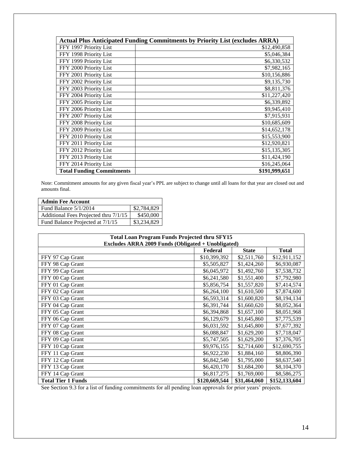| <b>Actual Plus Anticipated Funding Commitments by Priority List (excludes ARRA)</b> |               |  |  |  |  |
|-------------------------------------------------------------------------------------|---------------|--|--|--|--|
| FFY 1997 Priority List                                                              | \$12,490,858  |  |  |  |  |
| FFY 1998 Priority List                                                              | \$5,046,384   |  |  |  |  |
| FFY 1999 Priority List                                                              | \$6,330,532   |  |  |  |  |
| FFY 2000 Priority List                                                              | \$7,982,165   |  |  |  |  |
| FFY 2001 Priority List                                                              | \$10,156,886  |  |  |  |  |
| FFY 2002 Priority List                                                              | \$9,135,730   |  |  |  |  |
| FFY 2003 Priority List                                                              | \$8,811,376   |  |  |  |  |
| FFY 2004 Priority List                                                              | \$11,227,420  |  |  |  |  |
| FFY 2005 Priority List                                                              | \$6,339,892   |  |  |  |  |
| FFY 2006 Priority List                                                              | \$9,945,410   |  |  |  |  |
| FFY 2007 Priority List                                                              | \$7,915,931   |  |  |  |  |
| FFY 2008 Priority List                                                              | \$10,685,609  |  |  |  |  |
| FFY 2009 Priority List                                                              | \$14,652,178  |  |  |  |  |
| FFY 2010 Priority List                                                              | \$15,553,900  |  |  |  |  |
| FFY 2011 Priority List                                                              | \$12,920,821  |  |  |  |  |
| FFY 2012 Priority List                                                              | \$15,135,305  |  |  |  |  |
| FFY 2013 Priority List                                                              | \$11,424,190  |  |  |  |  |
| FFY 2014 Priority List                                                              | \$16,245,064  |  |  |  |  |
| <b>Total Funding Commitments</b>                                                    | \$191,999,651 |  |  |  |  |

Note: Commitment amounts for any given fiscal year's PPL are subject to change until all loans for that year are closed out and amounts final.

| <b>Admin Fee Account</b>              |             |
|---------------------------------------|-------------|
| Fund Balance 5/1/2014                 | \$2,784,829 |
| Additional Fees Projected thru 7/1/15 | \$450,000   |
| Fund Balance Projected at 7/1/15      | \$3,234,829 |

| <b>Total Loan Program Funds Projected thru SFY15</b> |               |              |               |  |  |
|------------------------------------------------------|---------------|--------------|---------------|--|--|
| Excludes ARRA 2009 Funds (Obligated + Unobligated)   |               |              |               |  |  |
|                                                      | Federal       | <b>State</b> | <b>Total</b>  |  |  |
| FFY 97 Cap Grant                                     | \$10,399,392  | \$2,511,760  | \$12,911,152  |  |  |
| FFY 98 Cap Grant                                     | \$5,505,827   | \$1,424,260  | \$6,930,087   |  |  |
| FFY 99 Cap Grant                                     | \$6,045,972   | \$1,492,760  | \$7,538,732   |  |  |
| FFY 00 Cap Grant                                     | \$6,241,580   | \$1,551,400  | \$7,792,980   |  |  |
| FFY 01 Cap Grant                                     | \$5,856,754   | \$1,557,820  | \$7,414,574   |  |  |
| FFY 02 Cap Grant                                     | \$6,264,100   | \$1,610,500  | \$7,874,600   |  |  |
| FFY 03 Cap Grant                                     | \$6,593,314   | \$1,600,820  | \$8,194,134   |  |  |
| FFY 04 Cap Grant                                     | \$6,391,744   | \$1,660,620  | \$8,052,364   |  |  |
| FFY 05 Cap Grant                                     | \$6,394,868   | \$1,657,100  | \$8,051,968   |  |  |
| FFY 06 Cap Grant                                     | \$6,129,679   | \$1,645,860  | \$7,775,539   |  |  |
| FFY 07 Cap Grant                                     | \$6,031,592   | \$1,645,800  | \$7,677,392   |  |  |
| FFY 08 Cap Grant                                     | \$6,088,847   | \$1,629,200  | \$7,718,047   |  |  |
| FFY 09 Cap Grant                                     | \$5,747,505   | \$1,629,200  | \$7,376,705   |  |  |
| FFY 10 Cap Grant                                     | \$9,976,155   | \$2,714,600  | \$12,690,755  |  |  |
| FFY 11 Cap Grant                                     | \$6,922,230   | \$1,884,160  | \$8,806,390   |  |  |
| FFY 12 Cap Grant                                     | \$6,842,540   | \$1,795,000  | \$8,637,540   |  |  |
| FFY 13 Cap Grant                                     | \$6,420,170   | \$1,684,200  | \$8,104,370   |  |  |
| FFY 14 Cap Grant                                     | \$6,817,275   | \$1,769,000  | \$8,586,275   |  |  |
| <b>Total Tier 1 Funds</b>                            | \$120,669,544 | \$31,464,060 | \$152,133,604 |  |  |

See Section 9.3 for a list of funding commitments for all pending loan approvals for prior years' projects.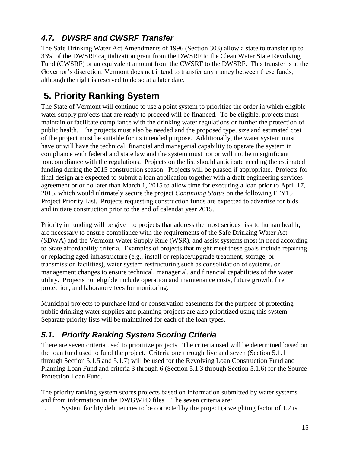# <span id="page-14-0"></span>*4.7. DWSRF and CWSRF Transfer*

The Safe Drinking Water Act Amendments of 1996 (Section 303) allow a state to transfer up to 33% of the DWSRF capitalization grant from the DWSRF to the Clean Water State Revolving Fund (CWSRF) or an equivalent amount from the CWSRF to the DWSRF. This transfer is at the Governor's discretion. Vermont does not intend to transfer any money between these funds, although the right is reserved to do so at a later date.

# <span id="page-14-1"></span>**5. Priority Ranking System**

The State of Vermont will continue to use a point system to prioritize the order in which eligible water supply projects that are ready to proceed will be financed. To be eligible, projects must maintain or facilitate compliance with the drinking water regulations or further the protection of public health. The projects must also be needed and the proposed type, size and estimated cost of the project must be suitable for its intended purpose. Additionally, the water system must have or will have the technical, financial and managerial capability to operate the system in compliance with federal and state law and the system must not or will not be in significant noncompliance with the regulations. Projects on the list should anticipate needing the estimated funding during the 2015 construction season. Projects will be phased if appropriate. Projects for final design are expected to submit a loan application together with a draft engineering services agreement prior no later than March 1, 2015 to allow time for executing a loan prior to April 17, 2015, which would ultimately secure the project *Continuing Status* on the following FFY15 Project Priority List. Projects requesting construction funds are expected to advertise for bids and initiate construction prior to the end of calendar year 2015.

Priority in funding will be given to projects that address the most serious risk to human health, are necessary to ensure compliance with the requirements of the Safe Drinking Water Act (SDWA) and the Vermont Water Supply Rule (WSR), and assist systems most in need according to State affordability criteria. Examples of projects that might meet these goals include repairing or replacing aged infrastructure (e.g., install or replace/upgrade treatment, storage, or transmission facilities), water system restructuring such as consolidation of systems, or management changes to ensure technical, managerial, and financial capabilities of the water utility. Projects not eligible include operation and maintenance costs, future growth, fire protection, and laboratory fees for monitoring.

Municipal projects to purchase land or conservation easements for the purpose of protecting public drinking water supplies and planning projects are also prioritized using this system. Separate priority lists will be maintained for each of the loan types.

## <span id="page-14-2"></span>*5.1. Priority Ranking System Scoring Criteria*

There are seven criteria used to prioritize projects. The criteria used will be determined based on the loan fund used to fund the project. Criteria one through five and seven (Section 5.1.1 through Section 5.1.5 and 5.1.7) will be used for the Revolving Loan Construction Fund and Planning Loan Fund and criteria 3 through 6 (Section 5.1.3 through Section 5.1.6) for the Source Protection Loan Fund.

The priority ranking system scores projects based on information submitted by water systems and from information in the DWGWPD files. The seven criteria are:

1. System facility deficiencies to be corrected by the project (a weighting factor of 1.2 is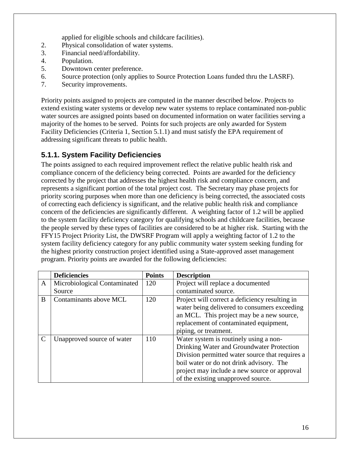applied for eligible schools and childcare facilities).

- 2. Physical consolidation of water systems.
- 3. Financial need/affordability.
- 4. Population.
- 5. Downtown center preference.
- 6. Source protection (only applies to Source Protection Loans funded thru the LASRF).
- 7. Security improvements.

Priority points assigned to projects are computed in the manner described below. Projects to extend existing water systems or develop new water systems to replace contaminated non-public water sources are assigned points based on documented information on water facilities serving a majority of the homes to be served. Points for such projects are only awarded for System Facility Deficiencies (Criteria 1, Section 5.1.1) and must satisfy the EPA requirement of addressing significant threats to public health.

#### <span id="page-15-0"></span>**5.1.1. System Facility Deficiencies**

The points assigned to each required improvement reflect the relative public health risk and compliance concern of the deficiency being corrected. Points are awarded for the deficiency corrected by the project that addresses the highest health risk and compliance concern, and represents a significant portion of the total project cost. The Secretary may phase projects for priority scoring purposes when more than one deficiency is being corrected, the associated costs of correcting each deficiency is significant, and the relative public health risk and compliance concern of the deficiencies are significantly different. A weighting factor of 1.2 will be applied to the system facility deficiency category for qualifying schools and childcare facilities, because the people served by these types of facilities are considered to be at higher risk. Starting with the FFY15 Project Priority List, the DWSRF Program will apply a weighting factor of 1.2 to the system facility deficiency category for any public community water system seeking funding for the highest priority construction project identified using a State-approved asset management program. Priority points are awarded for the following deficiencies:

|               | <b>Deficiencies</b>          | <b>Points</b> | <b>Description</b>                              |
|---------------|------------------------------|---------------|-------------------------------------------------|
| A             | Microbiological Contaminated | 120           | Project will replace a documented               |
|               | Source                       |               | contaminated source.                            |
| B             | Contaminants above MCL       | 120           | Project will correct a deficiency resulting in  |
|               |                              |               | water being delivered to consumers exceeding    |
|               |                              |               | an MCL. This project may be a new source,       |
|               |                              |               | replacement of contaminated equipment,          |
|               |                              |               | piping, or treatment.                           |
| $\mathcal{C}$ | Unapproved source of water   | 110           | Water system is routinely using a non-          |
|               |                              |               | Drinking Water and Groundwater Protection       |
|               |                              |               | Division permitted water source that requires a |
|               |                              |               | boil water or do not drink advisory. The        |
|               |                              |               | project may include a new source or approval    |
|               |                              |               | of the existing unapproved source.              |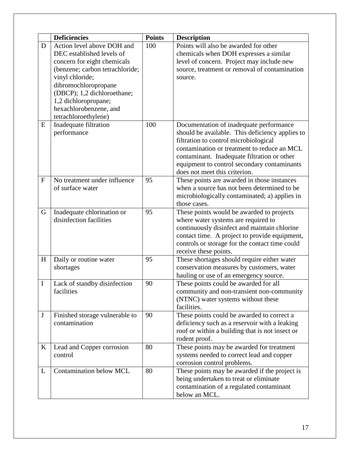|              | <b>Deficiencies</b>             | <b>Points</b> | <b>Description</b>                                                                         |
|--------------|---------------------------------|---------------|--------------------------------------------------------------------------------------------|
| D            | Action level above DOH and      | 100           | Points will also be awarded for other                                                      |
|              | DEC established levels of       |               | chemicals when DOH expresses a similar                                                     |
|              | concern for eight chemicals     |               | level of concern. Project may include new                                                  |
|              | (benzene; carbon tetrachloride; |               | source, treatment or removal of contamination                                              |
|              | vinyl chloride;                 |               | source.                                                                                    |
|              | dibromochloropropane            |               |                                                                                            |
|              | (DBCP); 1,2 dichloroethane;     |               |                                                                                            |
|              | 1,2 dichloropropane;            |               |                                                                                            |
|              | hexachlorobenzene, and          |               |                                                                                            |
|              | tetrachloroethylene)            |               |                                                                                            |
| E            | Inadequate filtration           | 100           | Documentation of inadequate performance                                                    |
|              | performance                     |               | should be available. This deficiency applies to                                            |
|              |                                 |               | filtration to control microbiological                                                      |
|              |                                 |               | contamination or treatment to reduce an MCL                                                |
|              |                                 |               | contaminant. Inadequate filtration or other                                                |
|              |                                 |               | equipment to control secondary contaminants                                                |
| $\mathbf{F}$ | No treatment under influence    | 95            | does not meet this criterion.                                                              |
|              | of surface water                |               | These points are awarded in those instances<br>when a source has not been determined to be |
|              |                                 |               |                                                                                            |
|              |                                 |               | microbiologically contaminated; a) applies in<br>those cases.                              |
| G            | Inadequate chlorination or      | 95            | These points would be awarded to projects                                                  |
|              | disinfection facilities         |               | where water systems are required to                                                        |
|              |                                 |               | continuously disinfect and maintain chlorine                                               |
|              |                                 |               | contact time. A project to provide equipment,                                              |
|              |                                 |               | controls or storage for the contact time could                                             |
|              |                                 |               | receive these points.                                                                      |
| H            | Daily or routine water          | 95            | These shortages should require either water                                                |
|              | shortages                       |               | conservation measures by customers, water                                                  |
|              |                                 |               | hauling or use of an emergency source.                                                     |
| I            | Lack of standby disinfection    | 90            | These points could be awarded for all                                                      |
|              | facilities                      |               | community and non-transient non-community                                                  |
|              |                                 |               | (NTNC) water systems without these                                                         |
|              |                                 |               | facilities.                                                                                |
| $\mathbf{J}$ | Finished storage vulnerable to  | 90            | These points could be awarded to correct a                                                 |
|              | contamination                   |               | deficiency such as a reservoir with a leaking                                              |
|              |                                 |               | roof or within a building that is not insect or                                            |
|              |                                 |               | rodent proof.                                                                              |
| K            | Lead and Copper corrosion       | 80            | These points may be awarded for treatment                                                  |
|              | control                         |               | systems needed to correct lead and copper                                                  |
|              |                                 |               | corrosion control problems.                                                                |
| L            | <b>Contamination below MCL</b>  | 80            | These points may be awarded if the project is                                              |
|              |                                 |               | being undertaken to treat or eliminate                                                     |
|              |                                 |               | contamination of a regulated contaminant                                                   |
|              |                                 |               | below an MCL.                                                                              |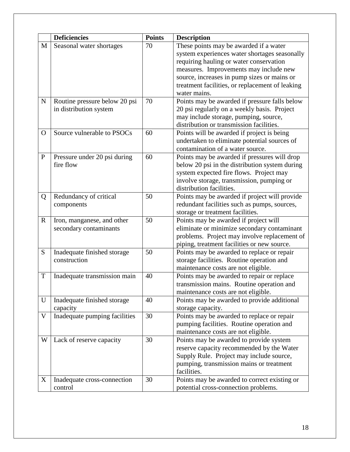|              | <b>Deficiencies</b>                                     | <b>Points</b> | <b>Description</b>                                                                                                                                                                                                                                                                             |
|--------------|---------------------------------------------------------|---------------|------------------------------------------------------------------------------------------------------------------------------------------------------------------------------------------------------------------------------------------------------------------------------------------------|
| M            | Seasonal water shortages                                | 70            | These points may be awarded if a water<br>system experiences water shortages seasonally<br>requiring hauling or water conservation<br>measures. Improvements may include new<br>source, increases in pump sizes or mains or<br>treatment facilities, or replacement of leaking<br>water mains. |
| $\mathbf N$  | Routine pressure below 20 psi<br>in distribution system | 70            | Points may be awarded if pressure falls below<br>20 psi regularly on a weekly basis. Project<br>may include storage, pumping, source,<br>distribution or transmission facilities.                                                                                                              |
| $\Omega$     | Source vulnerable to PSOCs                              | 60            | Points will be awarded if project is being<br>undertaken to eliminate potential sources of<br>contamination of a water source.                                                                                                                                                                 |
| $\mathbf{P}$ | Pressure under 20 psi during<br>fire flow               | 60            | Points may be awarded if pressures will drop<br>below 20 psi in the distribution system during<br>system expected fire flows. Project may<br>involve storage, transmission, pumping or<br>distribution facilities.                                                                             |
| Q            | Redundancy of critical<br>components                    | 50            | Points may be awarded if project will provide<br>redundant facilities such as pumps, sources,<br>storage or treatment facilities.                                                                                                                                                              |
| $\mathbf R$  | Iron, manganese, and other<br>secondary contaminants    | 50            | Points may be awarded if project will<br>eliminate or minimize secondary contaminant<br>problems. Project may involve replacement of<br>piping, treatment facilities or new source.                                                                                                            |
| S            | Inadequate finished storage<br>construction             | 50            | Points may be awarded to replace or repair<br>storage facilities. Routine operation and<br>maintenance costs are not eligible.                                                                                                                                                                 |
| $\mathbf T$  | Inadequate transmission main                            | 40            | Points may be awarded to repair or replace<br>transmission mains. Routine operation and<br>maintenance costs are not eligible.                                                                                                                                                                 |
| U            | Inadequate finished storage<br>capacity                 | 40            | Points may be awarded to provide additional<br>storage capacity.                                                                                                                                                                                                                               |
| V            | Inadequate pumping facilities                           | 30            | Points may be awarded to replace or repair<br>pumping facilities. Routine operation and<br>maintenance costs are not eligible.                                                                                                                                                                 |
| W            | Lack of reserve capacity                                | 30            | Points may be awarded to provide system<br>reserve capacity recommended by the Water<br>Supply Rule. Project may include source,<br>pumping, transmission mains or treatment<br>facilities.                                                                                                    |
| X            | Inadequate cross-connection<br>control                  | 30            | Points may be awarded to correct existing or<br>potential cross-connection problems.                                                                                                                                                                                                           |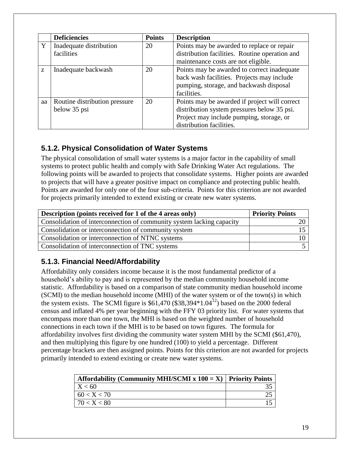|    | <b>Deficiencies</b>           | <b>Points</b> | <b>Description</b>                             |
|----|-------------------------------|---------------|------------------------------------------------|
| Y  | Inadequate distribution       | 20            | Points may be awarded to replace or repair     |
|    | facilities                    |               | distribution facilities. Routine operation and |
|    |                               |               | maintenance costs are not eligible.            |
| Z  | Inadequate backwash           | 20            | Points may be awarded to correct inadequate    |
|    |                               |               | back wash facilities. Projects may include     |
|    |                               |               | pumping, storage, and backwash disposal        |
|    |                               |               | facilities.                                    |
| aa | Routine distribution pressure | 20            | Points may be awarded if project will correct  |
|    | below 35 psi                  |               | distribution system pressures below 35 psi.    |
|    |                               |               | Project may include pumping, storage, or       |
|    |                               |               | distribution facilities.                       |

#### <span id="page-18-0"></span>**5.1.2. Physical Consolidation of Water Systems**

The physical consolidation of small water systems is a major factor in the capability of small systems to protect public health and comply with Safe Drinking Water Act regulations. The following points will be awarded to projects that consolidate systems. Higher points are awarded to projects that will have a greater positive impact on compliance and protecting public health. Points are awarded for only one of the four sub-criteria. Points for this criterion are not awarded for projects primarily intended to extend existing or create new water systems.

| Description (points received for 1 of the 4 areas only)               | <b>Priority Points</b> |
|-----------------------------------------------------------------------|------------------------|
| Consolidation of interconnection of community system lacking capacity |                        |
| Consolidation or interconnection of community system                  |                        |
| Consolidation or interconnection of NTNC systems                      |                        |
| Consolidation of interconnection of TNC systems                       |                        |

#### <span id="page-18-1"></span>**5.1.3. Financial Need/Affordability**

Affordability only considers income because it is the most fundamental predictor of a household's ability to pay and is represented by the median community household income statistic. Affordability is based on a comparison of state community median household income (SCMI) to the median household income (MHI) of the water system or of the town(s) in which the system exists. The SCMI figure is  $$61,470$  (\$38,394 $*1.04^{12}$ ) based on the 2000 federal census and inflated 4% per year beginning with the FFY 03 priority list. For water systems that encompass more than one town, the MHI is based on the weighted number of household connections in each town if the MHI is to be based on town figures. The formula for affordability involves first dividing the community water system MHI by the SCMI (\$61,470), and then multiplying this figure by one hundred (100) to yield a percentage. Different percentage brackets are then assigned points. Points for this criterion are not awarded for projects primarily intended to extend existing or create new water systems.

| Affordability (Community MHI/SCMI x $100 = X$ ) Priority Points |  |
|-----------------------------------------------------------------|--|
| X < 60                                                          |  |
| 60 < X < 70                                                     |  |
| 70 < X < 80                                                     |  |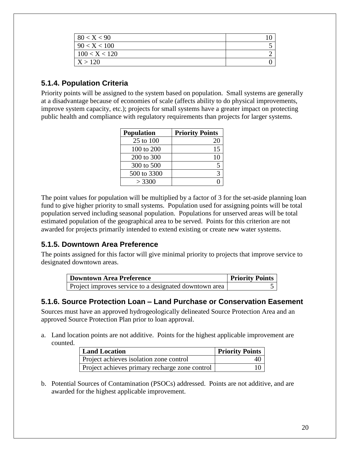| 80 < X < 90   |  |
|---------------|--|
| 90 < X < 100  |  |
| 100 < X < 120 |  |
| X > 120       |  |

#### <span id="page-19-0"></span>**5.1.4. Population Criteria**

Priority points will be assigned to the system based on population. Small systems are generally at a disadvantage because of economies of scale (affects ability to do physical improvements, improve system capacity, etc.); projects for small systems have a greater impact on protecting public health and compliance with regulatory requirements than projects for larger systems.

| <b>Population</b> | <b>Priority Points</b> |
|-------------------|------------------------|
| 25 to 100         | 20                     |
| 100 to 200        | 15                     |
| 200 to 300        | 10                     |
| 300 to 500        |                        |
| 500 to 3300       |                        |
| > 3300            |                        |

The point values for population will be multiplied by a factor of 3 for the set-aside planning loan fund to give higher priority to small systems. Population used for assigning points will be total population served including seasonal population. Populations for unserved areas will be total estimated population of the geographical area to be served. Points for this criterion are not awarded for projects primarily intended to extend existing or create new water systems.

#### <span id="page-19-1"></span>**5.1.5. Downtown Area Preference**

The points assigned for this factor will give minimal priority to projects that improve service to designated downtown areas.

| Downtown Area Preference                               | <b>Priority Points</b> |
|--------------------------------------------------------|------------------------|
| Project improves service to a designated downtown area |                        |

#### <span id="page-19-2"></span>**5.1.6. Source Protection Loan – Land Purchase or Conservation Easement**

Sources must have an approved hydrogeologically delineated Source Protection Area and an approved Source Protection Plan prior to loan approval.

a. Land location points are not additive. Points for the highest applicable improvement are counted.

| <b>Land Location</b>                           | <b>Priority Points</b> |
|------------------------------------------------|------------------------|
| Project achieves isolation zone control        |                        |
| Project achieves primary recharge zone control |                        |

b. Potential Sources of Contamination (PSOCs) addressed. Points are not additive, and are awarded for the highest applicable improvement.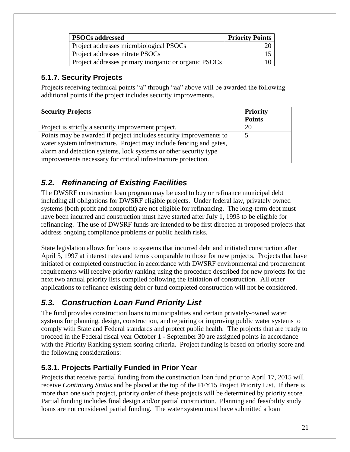| <b>PSOCs addressed</b>                               | <b>Priority Points</b> |
|------------------------------------------------------|------------------------|
| Project addresses microbiological PSOCs              |                        |
| Project addresses nitrate PSOCs                      |                        |
| Project addresses primary inorganic or organic PSOCs |                        |

#### <span id="page-20-0"></span>**5.1.7. Security Projects**

Projects receiving technical points "a" through "aa" above will be awarded the following additional points if the project includes security improvements.

| <b>Security Projects</b>                                            | <b>Priority</b> |
|---------------------------------------------------------------------|-----------------|
|                                                                     | <b>Points</b>   |
| Project is strictly a security improvement project.                 | 20              |
| Points may be awarded if project includes security improvements to  |                 |
| water system infrastructure. Project may include fencing and gates, |                 |
| alarm and detection systems, lock systems or other security type    |                 |
| improvements necessary for critical infrastructure protection.      |                 |

# <span id="page-20-1"></span>*5.2. Refinancing of Existing Facilities*

The DWSRF construction loan program may be used to buy or refinance municipal debt including all obligations for DWSRF eligible projects. Under federal law, privately owned systems (both profit and nonprofit) are not eligible for refinancing. The long-term debt must have been incurred and construction must have started after July 1, 1993 to be eligible for refinancing. The use of DWSRF funds are intended to be first directed at proposed projects that address ongoing compliance problems or public health risks.

State legislation allows for loans to systems that incurred debt and initiated construction after April 5, 1997 at interest rates and terms comparable to those for new projects. Projects that have initiated or completed construction in accordance with DWSRF environmental and procurement requirements will receive priority ranking using the procedure described for new projects for the next two annual priority lists compiled following the initiation of construction. All other applications to refinance existing debt or fund completed construction will not be considered.

## <span id="page-20-2"></span>*5.3. Construction Loan Fund Priority List*

The fund provides construction loans to municipalities and certain privately-owned water systems for planning, design, construction, and repairing or improving public water systems to comply with State and Federal standards and protect public health. The projects that are ready to proceed in the Federal fiscal year October 1 - September 30 are assigned points in accordance with the Priority Ranking system scoring criteria. Project funding is based on priority score and the following considerations:

#### <span id="page-20-3"></span>**5.3.1. Projects Partially Funded in Prior Year**

Projects that receive partial funding from the construction loan fund prior to April 17, 2015 will receive *Continuing Status* and be placed at the top of the FFY15 Project Priority List. If there is more than one such project, priority order of these projects will be determined by priority score. Partial funding includes final design and/or partial construction. Planning and feasibility study loans are not considered partial funding. The water system must have submitted a loan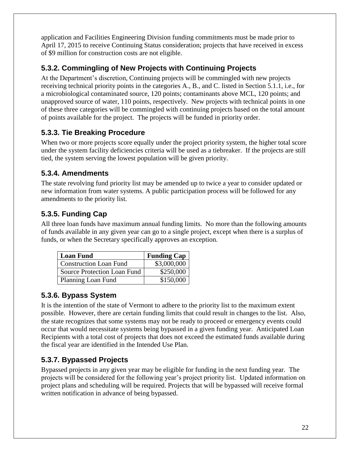application and Facilities Engineering Division funding commitments must be made prior to April 17, 2015 to receive Continuing Status consideration; projects that have received in excess of \$9 million for construction costs are not eligible.

#### <span id="page-21-0"></span>**5.3.2. Commingling of New Projects with Continuing Projects**

At the Department's discretion, Continuing projects will be commingled with new projects receiving technical priority points in the categories A., B., and C. listed in Section 5.1.1, i.e., for a microbiological contaminated source, 120 points; contaminants above MCL, 120 points; and unapproved source of water, 110 points, respectively. New projects with technical points in one of these three categories will be commingled with continuing projects based on the total amount of points available for the project. The projects will be funded in priority order.

#### <span id="page-21-1"></span>**5.3.3. Tie Breaking Procedure**

When two or more projects score equally under the project priority system, the higher total score under the system facility deficiencies criteria will be used as a tiebreaker. If the projects are still tied, the system serving the lowest population will be given priority.

#### <span id="page-21-2"></span>**5.3.4. Amendments**

The state revolving fund priority list may be amended up to twice a year to consider updated or new information from water systems. A public participation process will be followed for any amendments to the priority list.

### <span id="page-21-3"></span>**5.3.5. Funding Cap**

All three loan funds have maximum annual funding limits. No more than the following amounts of funds available in any given year can go to a single project, except when there is a surplus of funds, or when the Secretary specifically approves an exception.

| <b>Loan Fund</b>                   | <b>Funding Cap</b> |
|------------------------------------|--------------------|
| <b>Construction Loan Fund</b>      | \$3,000,000        |
| <b>Source Protection Loan Fund</b> | \$250,000          |
| Planning Loan Fund                 | \$150,000          |

#### <span id="page-21-4"></span>**5.3.6. Bypass System**

It is the intention of the state of Vermont to adhere to the priority list to the maximum extent possible. However, there are certain funding limits that could result in changes to the list. Also, the state recognizes that some systems may not be ready to proceed or emergency events could occur that would necessitate systems being bypassed in a given funding year. Anticipated Loan Recipients with a total cost of projects that does not exceed the estimated funds available during the fiscal year are identified in the Intended Use Plan.

#### <span id="page-21-5"></span>**5.3.7. Bypassed Projects**

Bypassed projects in any given year may be eligible for funding in the next funding year. The projects will be considered for the following year's project priority list. Updated information on project plans and scheduling will be required. Projects that will be bypassed will receive formal written notification in advance of being bypassed.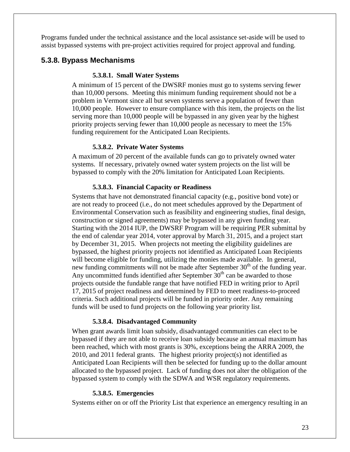Programs funded under the technical assistance and the local assistance set-aside will be used to assist bypassed systems with pre-project activities required for project approval and funding.

#### <span id="page-22-0"></span>**5.3.8. Bypass Mechanisms**

#### **5.3.8.1. Small Water Systems**

A minimum of 15 percent of the DWSRF monies must go to systems serving fewer than 10,000 persons. Meeting this minimum funding requirement should not be a problem in Vermont since all but seven systems serve a population of fewer than 10,000 people. However to ensure compliance with this item, the projects on the list serving more than 10,000 people will be bypassed in any given year by the highest priority projects serving fewer than 10,000 people as necessary to meet the 15% funding requirement for the Anticipated Loan Recipients.

#### **5.3.8.2. Private Water Systems**

A maximum of 20 percent of the available funds can go to privately owned water systems. If necessary, privately owned water system projects on the list will be bypassed to comply with the 20% limitation for Anticipated Loan Recipients.

#### **5.3.8.3. Financial Capacity or Readiness**

Systems that have not demonstrated financial capacity (e.g., positive bond vote) or are not ready to proceed (i.e., do not meet schedules approved by the Department of Environmental Conservation such as feasibility and engineering studies, final design, construction or signed agreements) may be bypassed in any given funding year. Starting with the 2014 IUP, the DWSRF Program will be requiring PER submittal by the end of calendar year 2014, voter approval by March 31, 2015, and a project start by December 31, 2015. When projects not meeting the eligibility guidelines are bypassed, the highest priority projects not identified as Anticipated Loan Recipients will become eligible for funding, utilizing the monies made available. In general, new funding commitments will not be made after September  $30<sup>th</sup>$  of the funding year. Any uncommitted funds identified after September  $30<sup>th</sup>$  can be awarded to those projects outside the fundable range that have notified FED in writing prior to April 17, 2015 of project readiness and determined by FED to meet readiness-to-proceed criteria. Such additional projects will be funded in priority order. Any remaining funds will be used to fund projects on the following year priority list.

#### **5.3.8.4. Disadvantaged Community**

When grant awards limit loan subsidy, disadvantaged communities can elect to be bypassed if they are not able to receive loan subsidy because an annual maximum has been reached, which with most grants is 30%, exceptions being the ARRA 2009, the 2010, and 2011 federal grants. The highest priority project(s) not identified as Anticipated Loan Recipients will then be selected for funding up to the dollar amount allocated to the bypassed project. Lack of funding does not alter the obligation of the bypassed system to comply with the SDWA and WSR regulatory requirements.

#### **5.3.8.5. Emergencies**

Systems either on or off the Priority List that experience an emergency resulting in an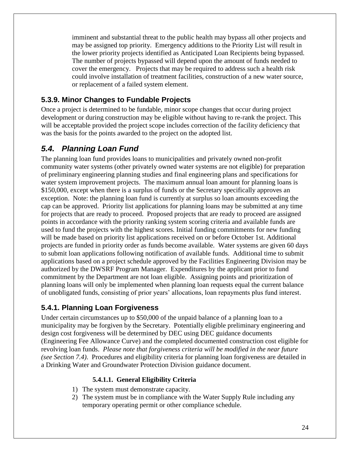imminent and substantial threat to the public health may bypass all other projects and may be assigned top priority. Emergency additions to the Priority List will result in the lower priority projects identified as Anticipated Loan Recipients being bypassed. The number of projects bypassed will depend upon the amount of funds needed to cover the emergency. Projects that may be required to address such a health risk could involve installation of treatment facilities, construction of a new water source, or replacement of a failed system element.

#### <span id="page-23-0"></span>**5.3.9. Minor Changes to Fundable Projects**

Once a project is determined to be fundable, minor scope changes that occur during project development or during construction may be eligible without having to re-rank the project. This will be acceptable provided the project scope includes correction of the facility deficiency that was the basis for the points awarded to the project on the adopted list.

#### <span id="page-23-1"></span>*5.4. Planning Loan Fund*

The planning loan fund provides loans to municipalities and privately owned non-profit community water systems (other privately owned water systems are not eligible) for preparation of preliminary engineering planning studies and final engineering plans and specifications for water system improvement projects. The maximum annual loan amount for planning loans is \$150,000, except when there is a surplus of funds or the Secretary specifically approves an exception. Note: the planning loan fund is currently at surplus so loan amounts exceeding the cap can be approved. Priority list applications for planning loans may be submitted at any time for projects that are ready to proceed. Proposed projects that are ready to proceed are assigned points in accordance with the priority ranking system scoring criteria and available funds are used to fund the projects with the highest scores. Initial funding commitments for new funding will be made based on priority list applications received on or before October 1st. Additional projects are funded in priority order as funds become available. Water systems are given 60 days to submit loan applications following notification of available funds. Additional time to submit applications based on a project schedule approved by the Facilities Engineering Division may be authorized by the DWSRF Program Manager. Expenditures by the applicant prior to fund commitment by the Department are not loan eligible. Assigning points and prioritization of planning loans will only be implemented when planning loan requests equal the current balance of unobligated funds, consisting of prior years' allocations, loan repayments plus fund interest.

#### <span id="page-23-2"></span>**5.4.1. Planning Loan Forgiveness**

Under certain circumstances up to \$50,000 of the unpaid balance of a planning loan to a municipality may be forgiven by the Secretary. Potentially eligible preliminary engineering and design cost forgiveness will be determined by DEC using DEC guidance documents (Engineering Fee Allowance Curve) and the completed documented construction cost eligible for revolving loan funds. *Please note that forgiveness criteria will be modified in the near future (see Section 7.4)*. Procedures and eligibility criteria for planning loan forgiveness are detailed in a Drinking Water and Groundwater Protection Division guidance document.

#### **5.4.1.1. General Eligibility Criteria**

- 1) The system must demonstrate capacity.
- 2) The system must be in compliance with the Water Supply Rule including any temporary operating permit or other compliance schedule.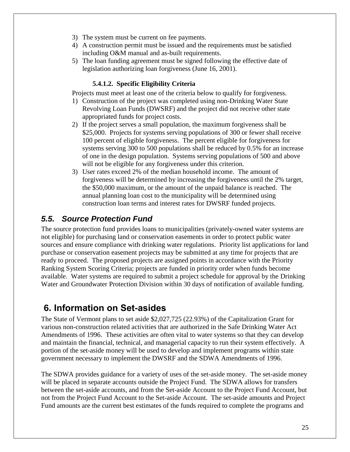- 3) The system must be current on fee payments.
- 4) A construction permit must be issued and the requirements must be satisfied including O&M manual and as-built requirements.
- 5) The loan funding agreement must be signed following the effective date of legislation authorizing loan forgiveness (June 16, 2001).

#### **5.4.1.2. Specific Eligibility Criteria**

Projects must meet at least one of the criteria below to qualify for forgiveness.

- 1) Construction of the project was completed using non-Drinking Water State Revolving Loan Funds (DWSRF) and the project did not receive other state appropriated funds for project costs.
- 2) If the project serves a small population, the maximum forgiveness shall be \$25,000. Projects for systems serving populations of 300 or fewer shall receive 100 percent of eligible forgiveness. The percent eligible for forgiveness for systems serving 300 to 500 populations shall be reduced by 0.5% for an increase of one in the design population. Systems serving populations of 500 and above will not be eligible for any forgiveness under this criterion.
- 3) User rates exceed 2% of the median household income. The amount of forgiveness will be determined by increasing the forgiveness until the 2% target, the \$50,000 maximum, or the amount of the unpaid balance is reached. The annual planning loan cost to the municipality will be determined using construction loan terms and interest rates for DWSRF funded projects.

## <span id="page-24-0"></span>*5.5. Source Protection Fund*

The source protection fund provides loans to municipalities (privately-owned water systems are not eligible) for purchasing land or conservation easements in order to protect public water sources and ensure compliance with drinking water regulations. Priority list applications for land purchase or conservation easement projects may be submitted at any time for projects that are ready to proceed. The proposed projects are assigned points in accordance with the Priority Ranking System Scoring Criteria; projects are funded in priority order when funds become available. Water systems are required to submit a project schedule for approval by the Drinking Water and Groundwater Protection Division within 30 days of notification of available funding.

# <span id="page-24-1"></span>**6. Information on Set-asides**

The State of Vermont plans to set aside \$2,027,725 (22.93%) of the Capitalization Grant for various non-construction related activities that are authorized in the Safe Drinking Water Act Amendments of 1996. These activities are often vital to water systems so that they can develop and maintain the financial, technical, and managerial capacity to run their system effectively. A portion of the set-aside money will be used to develop and implement programs within state government necessary to implement the DWSRF and the SDWA Amendments of 1996.

The SDWA provides guidance for a variety of uses of the set-aside money. The set-aside money will be placed in separate accounts outside the Project Fund. The SDWA allows for transfers between the set-aside accounts, and from the Set-aside Account to the Project Fund Account, but not from the Project Fund Account to the Set-aside Account. The set-aside amounts and Project Fund amounts are the current best estimates of the funds required to complete the programs and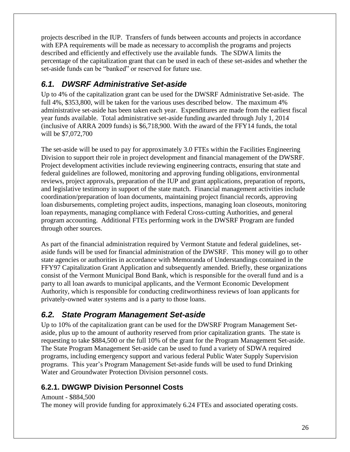projects described in the IUP. Transfers of funds between accounts and projects in accordance with EPA requirements will be made as necessary to accomplish the programs and projects described and efficiently and effectively use the available funds. The SDWA limits the percentage of the capitalization grant that can be used in each of these set-asides and whether the set-aside funds can be "banked" or reserved for future use.

## <span id="page-25-0"></span>*6.1. DWSRF Administrative Set-aside*

Up to 4% of the capitalization grant can be used for the DWSRF Administrative Set-aside. The full 4%, \$353,800, will be taken for the various uses described below. The maximum 4% administrative set-aside has been taken each year. Expenditures are made from the earliest fiscal year funds available. Total administrative set-aside funding awarded through July 1, 2014 (inclusive of ARRA 2009 funds) is \$6,718,900. With the award of the FFY14 funds, the total will be \$7,072,700

The set-aside will be used to pay for approximately 3.0 FTEs within the Facilities Engineering Division to support their role in project development and financial management of the DWSRF. Project development activities include reviewing engineering contracts, ensuring that state and federal guidelines are followed, monitoring and approving funding obligations, environmental reviews, project approvals, preparation of the IUP and grant applications, preparation of reports, and legislative testimony in support of the state match. Financial management activities include coordination/preparation of loan documents, maintaining project financial records, approving loan disbursements, completing project audits, inspections, managing loan closeouts, monitoring loan repayments, managing compliance with Federal Cross-cutting Authorities, and general program accounting. Additional FTEs performing work in the DWSRF Program are funded through other sources.

As part of the financial administration required by Vermont Statute and federal guidelines, setaside funds will be used for financial administration of the DWSRF. This money will go to other state agencies or authorities in accordance with Memoranda of Understandings contained in the FFY97 Capitalization Grant Application and subsequently amended. Briefly, these organizations consist of the Vermont Municipal Bond Bank, which is responsible for the overall fund and is a party to all loan awards to municipal applicants, and the Vermont Economic Development Authority, which is responsible for conducting creditworthiness reviews of loan applicants for privately-owned water systems and is a party to those loans.

#### <span id="page-25-1"></span>*6.2. State Program Management Set-aside*

Up to 10% of the capitalization grant can be used for the DWSRF Program Management Setaside, plus up to the amount of authority reserved from prior capitalization grants. The state is requesting to take \$884,500 or the full 10% of the grant for the Program Management Set-aside. The State Program Management Set-aside can be used to fund a variety of SDWA required programs, including emergency support and various federal Public Water Supply Supervision programs. This year's Program Management Set-aside funds will be used to fund Drinking Water and Groundwater Protection Division personnel costs.

#### <span id="page-25-2"></span>**6.2.1. DWGWP Division Personnel Costs**

#### Amount - \$884,500

The money will provide funding for approximately 6.24 FTEs and associated operating costs.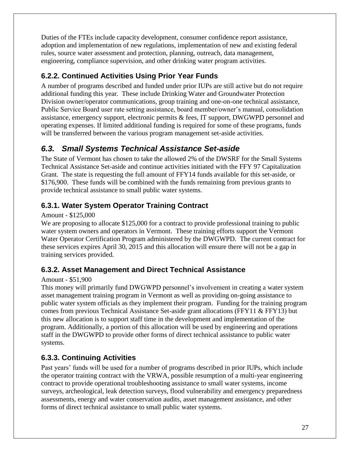Duties of the FTEs include capacity development, consumer confidence report assistance, adoption and implementation of new regulations, implementation of new and existing federal rules, source water assessment and protection, planning, outreach, data management, engineering, compliance supervision, and other drinking water program activities.

### <span id="page-26-0"></span>**6.2.2. Continued Activities Using Prior Year Funds**

A number of programs described and funded under prior IUPs are still active but do not require additional funding this year. These include Drinking Water and Groundwater Protection Division owner/operator communications, group training and one-on-one technical assistance, Public Service Board user rate setting assistance, board member/owner's manual, consolidation assistance, emergency support, electronic permits & fees, IT support, DWGWPD personnel and operating expenses. If limited additional funding is required for some of these programs, funds will be transferred between the various program management set-aside activities.

# <span id="page-26-1"></span>*6.3. Small Systems Technical Assistance Set-aside*

The State of Vermont has chosen to take the allowed 2% of the DWSRF for the Small Systems Technical Assistance Set-aside and continue activities initiated with the FFY 97 Capitalization Grant. The state is requesting the full amount of FFY14 funds available for this set-aside, or \$176,900. These funds will be combined with the funds remaining from previous grants to provide technical assistance to small public water systems.

#### <span id="page-26-2"></span>**6.3.1. Water System Operator Training Contract**

#### Amount - \$125,000

We are proposing to allocate \$125,000 for a contract to provide professional training to public water system owners and operators in Vermont. These training efforts support the Vermont Water Operator Certification Program administered by the DWGWPD. The current contract for these services expires April 30, 2015 and this allocation will ensure there will not be a gap in training services provided.

#### <span id="page-26-3"></span>**6.3.2. Asset Management and Direct Technical Assistance**

#### Amount - \$51,900

This money will primarily fund DWGWPD personnel's involvement in creating a water system asset management training program in Vermont as well as providing on-going assistance to public water system officials as they implement their program. Funding for the training program comes from previous Technical Assistance Set-aside grant allocations (FFY11 & FFY13) but this new allocation is to support staff time in the development and implementation of the program. Additionally, a portion of this allocation will be used by engineering and operations staff in the DWGWPD to provide other forms of direct technical assistance to public water systems.

#### <span id="page-26-4"></span>**6.3.3. Continuing Activities**

Past years' funds will be used for a number of programs described in prior IUPs, which include the operator training contract with the VRWA, possible resumption of a multi-year engineering contract to provide operational troubleshooting assistance to small water systems, income surveys, archeological, leak detection surveys, flood vulnerability and emergency preparedness assessments, energy and water conservation audits, asset management assistance, and other forms of direct technical assistance to small public water systems.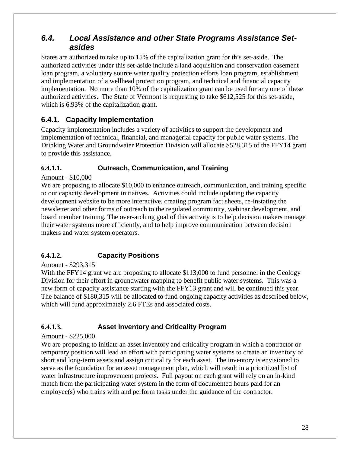#### <span id="page-27-0"></span>*6.4. Local Assistance and other State Programs Assistance Setasides*

States are authorized to take up to 15% of the capitalization grant for this set-aside. The authorized activities under this set-aside include a land acquisition and conservation easement loan program, a voluntary source water quality protection efforts loan program, establishment and implementation of a wellhead protection program, and technical and financial capacity implementation. No more than 10% of the capitalization grant can be used for any one of these authorized activities. The State of Vermont is requesting to take \$612,525 for this set-aside, which is 6.93% of the capitalization grant.

#### <span id="page-27-1"></span>**6.4.1. Capacity Implementation**

Capacity implementation includes a variety of activities to support the development and implementation of technical, financial, and managerial capacity for public water systems. The Drinking Water and Groundwater Protection Division will allocate \$528,315 of the FFY14 grant to provide this assistance.

#### **6.4.1.1. Outreach, Communication, and Training**

#### Amount - \$10,000

We are proposing to allocate \$10,000 to enhance outreach, communication, and training specific to our capacity development initiatives. Activities could include updating the capacity development website to be more interactive, creating program fact sheets, re-instating the newsletter and other forms of outreach to the regulated community, webinar development, and board member training. The over-arching goal of this activity is to help decision makers manage their water systems more efficiently, and to help improve communication between decision makers and water system operators.

#### **6.4.1.2. Capacity Positions**

#### Amount - \$293,315

With the FFY14 grant we are proposing to allocate \$113,000 to fund personnel in the Geology Division for their effort in groundwater mapping to benefit public water systems. This was a new form of capacity assistance starting with the FFY13 grant and will be continued this year. The balance of \$180,315 will be allocated to fund ongoing capacity activities as described below, which will fund approximately 2.6 FTEs and associated costs.

#### **6.4.1.3. Asset Inventory and Criticality Program**

#### Amount - \$225,000

We are proposing to initiate an asset inventory and criticality program in which a contractor or temporary position will lead an effort with participating water systems to create an inventory of short and long-term assets and assign criticality for each asset. The inventory is envisioned to serve as the foundation for an asset management plan, which will result in a prioritized list of water infrastructure improvement projects. Full payout on each grant will rely on an in-kind match from the participating water system in the form of documented hours paid for an employee(s) who trains with and perform tasks under the guidance of the contractor.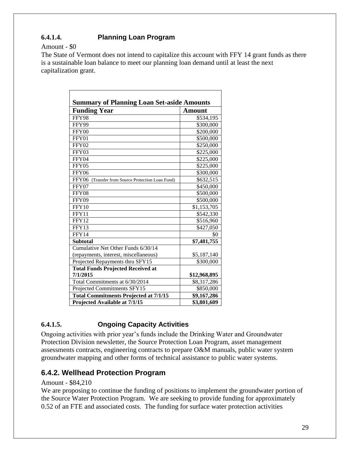#### **6.4.1.4. Planning Loan Program**

#### Amount - \$0

The State of Vermont does not intend to capitalize this account with FFY 14 grant funds as there is a sustainable loan balance to meet our planning loan demand until at least the next capitalization grant.

| <b>Summary of Planning Loan Set-aside Amounts</b>    |               |  |
|------------------------------------------------------|---------------|--|
| <b>Funding Year</b>                                  | <b>Amount</b> |  |
| FFY98                                                | \$534,195     |  |
| FFY99                                                | \$300,000     |  |
| FFY00                                                | \$200,000     |  |
| FFY01                                                | \$500,000     |  |
| FFY02                                                | \$250,000     |  |
| FFY03                                                | \$225,000     |  |
| FFY04                                                | \$225,000     |  |
| FFY05                                                | \$225,000     |  |
| FFY06                                                | \$300,000     |  |
| FFY06<br>(Transfer from Source Protection Loan Fund) | \$632,515     |  |
| FFY07                                                | \$450,000     |  |
| FFY08                                                | \$500,000     |  |
| FFY09                                                | \$500,000     |  |
| FFY10                                                | \$1,153,705   |  |
| FFY11                                                | \$542,330     |  |
| FFY12                                                | \$516,960     |  |
| FFY13                                                | \$427,050     |  |
| FFY14                                                | \$0           |  |
| <b>Subtotal</b>                                      | \$7,481,755   |  |
| Cumulative Net Other Funds 6/30/14                   |               |  |
| (repayments, interest, miscellaneous)                | \$5,187,140   |  |
| Projected Repayments thru SFY15                      | \$300,000     |  |
| <b>Total Funds Projected Received at</b>             |               |  |
| 7/1/2015                                             | \$12,968,895  |  |
| Total Commitments at 6/30/2014                       | \$8,317,286   |  |
| Projected Commitments SFY15                          | \$850,000     |  |
| <b>Total Commitments Projected at 7/1/15</b>         | \$9,167,286   |  |
| Projected Available at 7/1/15                        | \$3,801,609   |  |

#### **6.4.1.5. Ongoing Capacity Activities**

Ongoing activities with prior year's funds include the Drinking Water and Groundwater Protection Division newsletter, the Source Protection Loan Program, asset management assessments contracts, engineering contracts to prepare O&M manuals, public water system groundwater mapping and other forms of technical assistance to public water systems.

#### <span id="page-28-0"></span>**6.4.2. Wellhead Protection Program**

#### Amount - \$84,210

We are proposing to continue the funding of positions to implement the groundwater portion of the Source Water Protection Program. We are seeking to provide funding for approximately 0.52 of an FTE and associated costs. The funding for surface water protection activities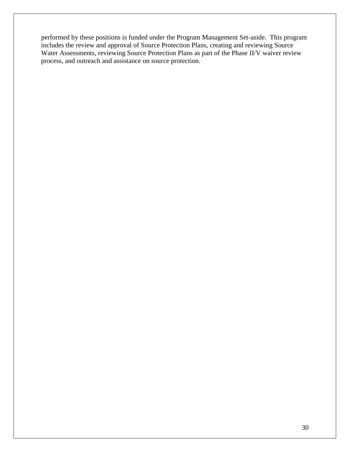performed by these positions is funded under the Program Management Set-aside. This program includes the review and approval of Source Protection Plans, creating and reviewing Source Water Assessments, reviewing Source Protection Plans as part of the Phase II/V waiver review process, and outreach and assistance on source protection.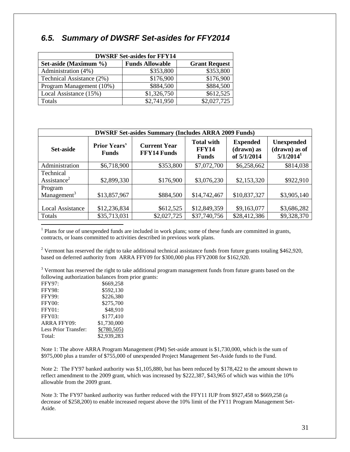#### <span id="page-30-0"></span>*6.5. Summary of DWSRF Set-asides for FFY2014*

| <b>DWSRF Set-asides for FFY14</b> |                        |                      |  |
|-----------------------------------|------------------------|----------------------|--|
| Set-aside (Maximum %)             | <b>Funds Allowable</b> | <b>Grant Request</b> |  |
| Administration (4%)               | \$353,800              | \$353,800            |  |
| Technical Assistance (2%)         | \$176,900              | \$176,900            |  |
| Program Management (10%)          | \$884,500              | \$884,500            |  |
| Local Assistance (15%)            | \$1,326,750            | \$612,525            |  |
| Totals                            | \$2,741,950            | \$2,027,725          |  |

| <b>DWSRF Set-asides Summary (Includes ARRA 2009 Funds)</b> |                                     |                                           |                                                   |                                              |                                                               |  |  |  |
|------------------------------------------------------------|-------------------------------------|-------------------------------------------|---------------------------------------------------|----------------------------------------------|---------------------------------------------------------------|--|--|--|
| Set-aside                                                  | <b>Prior Years'</b><br><b>Funds</b> | <b>Current Year</b><br><b>FFY14 Funds</b> | <b>Total with</b><br><b>FFY14</b><br><b>Funds</b> | <b>Expended</b><br>(drawn) as<br>of 5/1/2014 | <b>Unexpended</b><br>(drawn) as of<br>$5/1/2014$ <sup>1</sup> |  |  |  |
| Administration                                             | \$6,718,900                         | \$353,800                                 | \$7,072,700                                       | \$6,258,662                                  | \$814,038                                                     |  |  |  |
| Technical<br>Assistance <sup>2</sup>                       | \$2,899,330                         | \$176,900                                 | \$3,076,230                                       | \$2,153,320                                  | \$922,910                                                     |  |  |  |
| Program<br>Management <sup>3</sup>                         | \$13,857,967                        | \$884,500                                 | \$14,742,467                                      | \$10,837,327                                 | \$3,905,140                                                   |  |  |  |
| <b>Local Assistance</b><br>Totals                          | \$12,236,834<br>\$35,713,031        | \$612,525<br>\$2,027,725                  | \$12,849,359<br>\$37,740,756                      | \$9,163,077<br>\$28,412,386                  | \$3,686,282<br>\$9,328,370                                    |  |  |  |
|                                                            |                                     |                                           |                                                   |                                              |                                                               |  |  |  |

<sup>1</sup> Plans for use of unexpended funds are included in work plans; some of these funds are committed in grants, contracts, or loans committed to activities described in previous work plans.

<sup>2</sup> Vermont has reserved the right to take additional technical assistance funds from future grants totaling \$462,920, based on deferred authority from ARRA FFY09 for \$300,000 plus FFY2008 for \$162,920.

<sup>3</sup> Vermont has reserved the right to take additional program management funds from future grants based on the following authorization balances from prior grants:

| FFY97:               | \$669,258   |
|----------------------|-------------|
| <b>FFY98:</b>        | \$592,130   |
| <b>FFY99:</b>        | \$226,380   |
| <b>FFY00:</b>        | \$275,700   |
| FFY01:               | \$48,910    |
| <b>FFY03:</b>        | \$177,410   |
| <b>ARRA FFY09:</b>   | \$1,730,000 |
| Less Prior Transfer: | \$(780,505) |
| Total:               | \$2,939,283 |
|                      |             |

Note 1: The above ARRA Program Management (PM) Set-aside amount is \$1,730,000, which is the sum of \$975,000 plus a transfer of \$755,000 of unexpended Project Management Set-Aside funds to the Fund.

Note 2: The FY97 banked authority was \$1,105,880, but has been reduced by \$178,422 to the amount shown to reflect amendment to the 2009 grant, which was increased by \$222,387, \$43,965 of which was within the 10% allowable from the 2009 grant.

Note 3: The FY97 banked authority was further reduced with the FFY11 IUP from \$927,458 to \$669,258 (a decrease of \$258,200) to enable increased request above the 10% limit of the FY11 Program Management Set-Aside.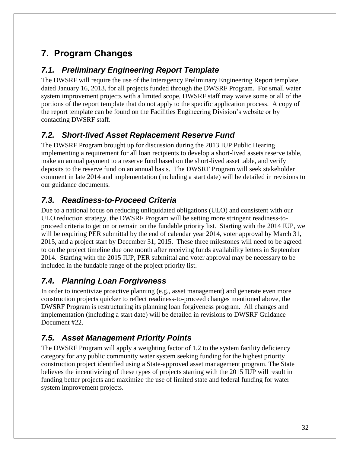# <span id="page-31-0"></span>**7. Program Changes**

#### <span id="page-31-1"></span>*7.1. Preliminary Engineering Report Template*

The DWSRF will require the use of the Interagency Preliminary Engineering Report template, dated January 16, 2013, for all projects funded through the DWSRF Program. For small water system improvement projects with a limited scope, DWSRF staff may waive some or all of the portions of the report template that do not apply to the specific application process. A copy of the report template can be found on the Facilities Engineering Division's website or by contacting DWSRF staff.

### <span id="page-31-2"></span>*7.2. Short-lived Asset Replacement Reserve Fund*

The DWSRF Program brought up for discussion during the 2013 IUP Public Hearing implementing a requirement for all loan recipients to develop a short-lived assets reserve table, make an annual payment to a reserve fund based on the short-lived asset table, and verify deposits to the reserve fund on an annual basis. The DWSRF Program will seek stakeholder comment in late 2014 and implementation (including a start date) will be detailed in revisions to our guidance documents.

### <span id="page-31-3"></span>*7.3. Readiness-to-Proceed Criteria*

Due to a national focus on reducing unliquidated obligations (ULO) and consistent with our ULO reduction strategy, the DWSRF Program will be setting more stringent readiness-toproceed criteria to get on or remain on the fundable priority list. Starting with the 2014 IUP, we will be requiring PER submittal by the end of calendar year 2014, voter approval by March 31, 2015, and a project start by December 31, 2015. These three milestones will need to be agreed to on the project timeline due one month after receiving funds availability letters in September 2014. Starting with the 2015 IUP, PER submittal and voter approval may be necessary to be included in the fundable range of the project priority list.

## <span id="page-31-4"></span>*7.4. Planning Loan Forgiveness*

In order to incentivize proactive planning (e.g., asset management) and generate even more construction projects quicker to reflect readiness-to-proceed changes mentioned above, the DWSRF Program is restructuring its planning loan forgiveness program. All changes and implementation (including a start date) will be detailed in revisions to DWSRF Guidance Document #22.

## <span id="page-31-5"></span>*7.5. Asset Management Priority Points*

The DWSRF Program will apply a weighting factor of 1.2 to the system facility deficiency category for any public community water system seeking funding for the highest priority construction project identified using a State-approved asset management program. The State believes the incentivizing of these types of projects starting with the 2015 IUP will result in funding better projects and maximize the use of limited state and federal funding for water system improvement projects.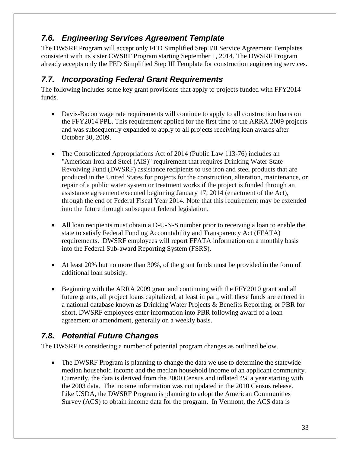# <span id="page-32-0"></span>*7.6. Engineering Services Agreement Template*

The DWSRF Program will accept only FED Simplified Step I/II Service Agreement Templates consistent with its sister CWSRF Program starting September 1, 2014. The DWSRF Program already accepts only the FED Simplified Step III Template for construction engineering services.

### <span id="page-32-1"></span>*7.7. Incorporating Federal Grant Requirements*

The following includes some key grant provisions that apply to projects funded with FFY2014 funds.

- Davis-Bacon wage rate requirements will continue to apply to all construction loans on the FFY2014 PPL. This requirement applied for the first time to the ARRA 2009 projects and was subsequently expanded to apply to all projects receiving loan awards after October 30, 2009.
- The Consolidated Appropriations Act of 2014 (Public Law 113-76) includes an "American Iron and Steel (AIS)" requirement that requires Drinking Water State Revolving Fund (DWSRF) assistance recipients to use iron and steel products that are produced in the United States for projects for the construction, alteration, maintenance, or repair of a public water system or treatment works if the project is funded through an assistance agreement executed beginning January 17, 2014 (enactment of the Act), through the end of Federal Fiscal Year 2014. Note that this requirement may be extended into the future through subsequent federal legislation.
- All loan recipients must obtain a D-U-N-S number prior to receiving a loan to enable the state to satisfy Federal Funding Accountability and Transparency Act (FFATA) requirements. DWSRF employees will report FFATA information on a monthly basis into the Federal Sub-award Reporting System (FSRS).
- At least 20% but no more than 30%, of the grant funds must be provided in the form of additional loan subsidy.
- Beginning with the ARRA 2009 grant and continuing with the FFY2010 grant and all future grants, all project loans capitalized, at least in part, with these funds are entered in a national database known as Drinking Water Projects & Benefits Reporting, or PBR for short. DWSRF employees enter information into PBR following award of a loan agreement or amendment, generally on a weekly basis.

## <span id="page-32-2"></span>*7.8. Potential Future Changes*

The DWSRF is considering a number of potential program changes as outlined below.

 The DWSRF Program is planning to change the data we use to determine the statewide median household income and the median household income of an applicant community. Currently, the data is derived from the 2000 Census and inflated 4% a year starting with the 2003 data. The income information was not updated in the 2010 Census release. Like USDA, the DWSRF Program is planning to adopt the American Communities Survey (ACS) to obtain income data for the program. In Vermont, the ACS data is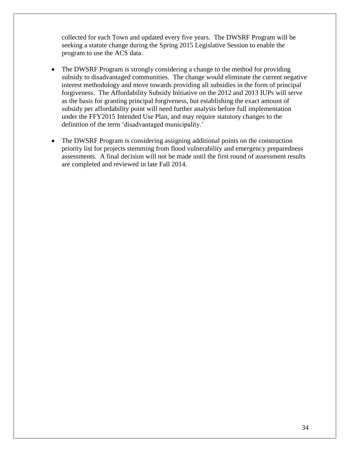collected for each Town and updated every five years. The DWSRF Program will be seeking a statute change during the Spring 2015 Legislative Session to enable the program to use the ACS data.

- The DWSRF Program is strongly considering a change to the method for providing subsidy to disadvantaged communities. The change would eliminate the current negative interest methodology and move towards providing all subsidies in the form of principal forgiveness. The Affordability Subsidy Initiative on the 2012 and 2013 IUPs will serve as the basis for granting principal forgiveness, but establishing the exact amount of subsidy per affordability point will need further analysis before full implementation under the FFY2015 Intended Use Plan, and may require statutory changes to the definition of the term 'disadvantaged municipality.'
- The DWSRF Program is considering assigning additional points on the construction priority list for projects stemming from flood vulnerability and emergency preparedness assessments. A final decision will not be made until the first round of assessment results are completed and reviewed in late Fall 2014.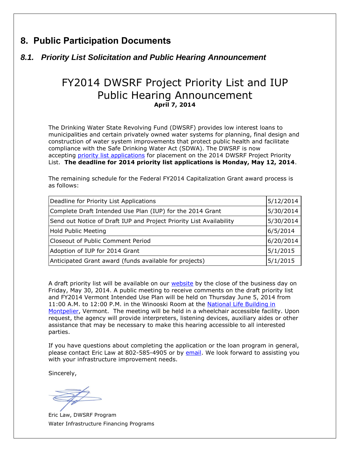## <span id="page-34-0"></span>**8. Public Participation Documents**

#### <span id="page-34-1"></span>*8.1. Priority List Solicitation and Public Hearing Announcement*

# FY2014 DWSRF Project Priority List and IUP Public Hearing Announcement **April 7, 2014**

The Drinking Water State Revolving Fund (DWSRF) provides low interest loans to municipalities and certain privately owned water systems for planning, final design and construction of water system improvements that protect public health and facilitate compliance with the Safe Drinking Water Act (SDWA). The DWSRF is now accepting [priority list applications](http://r20.rs6.net/tn.jsp?f=001LPvePK77tjrMQ4VqYkdKeSoqplF-1P7IAHAlHjU0P2mhUqD1WSumIXI0YQvJTmfxGN6e7SOu_y9q7Lm3ox5v4ollwudBvV7R8GCYKW1wETEiJrymj6iOZo5ezZZQ_XMV-4vtHpktb8kFtMWFxn5qr3Jq2hEl7BUlLxY8lScuDMpta_D03TFEhSFrmpFMXpTea3pr7qlVgZdBuSRSBVjv44lTf4y2-4oqMnoTA3wiMBBAQ4RD3x_Q16uBi5SipjuIs8YH3TAFocU=&c=__v-3Y5BeZSdJmMA_Sl4R45yH4vYbr5HXUPONDDzrFTM6tinZMBVvg==&ch=CMr8Wn5IbAK_mHxcbYgbSj2xxM6vBe8gljwYDxU-chnR6IZY5gauaw==) for placement on the 2014 DWSRF Project Priority List. **The deadline for 2014 priority list applications is Monday, May 12, 2014**.

The remaining schedule for the Federal FY2014 Capitalization Grant award process is as follows:

| 5/12/2014<br>Deadline for Priority List Applications                   |           |  |  |  |
|------------------------------------------------------------------------|-----------|--|--|--|
| 5/30/2014<br>Complete Draft Intended Use Plan (IUP) for the 2014 Grant |           |  |  |  |
| Send out Notice of Draft IUP and Project Priority List Availability    | 5/30/2014 |  |  |  |
| <b>Hold Public Meeting</b><br>6/5/2014                                 |           |  |  |  |
| Closeout of Public Comment Period                                      | 6/20/2014 |  |  |  |
| Adoption of IUP for 2014 Grant                                         | 5/1/2015  |  |  |  |
| Anticipated Grant award (funds available for projects)                 | 5/1/2015  |  |  |  |

A draft priority list will be available on our [website](http://r20.rs6.net/tn.jsp?f=001LPvePK77tjrMQ4VqYkdKeSoqplF-1P7IAHAlHjU0P2mhUqD1WSumIZBQqtIPn_kO2psSMd1RRLWclpLKJhdcnpWFhwsKKDcjTym4UHOYSY7KZ6LSl1X8bWpqzNpOD4Bu3GECoF3tlvG0YIZQNhR_d9R54S8o9B84xscu6GhpQKrzPcRFs75WujnKBcBtFXSz86LO82XM9NpwLgpCs9pKXA==&c=__v-3Y5BeZSdJmMA_Sl4R45yH4vYbr5HXUPONDDzrFTM6tinZMBVvg==&ch=CMr8Wn5IbAK_mHxcbYgbSj2xxM6vBe8gljwYDxU-chnR6IZY5gauaw==) by the close of the business day on Friday, May 30, 2014. A public meeting to receive comments on the draft priority list and FY2014 Vermont Intended Use Plan will be held on Thursday June 5, 2014 from 11:00 A.M. to 12:00 P.M. in the Winooski Room at the [National Life Building in](http://r20.rs6.net/tn.jsp?f=001LPvePK77tjrMQ4VqYkdKeSoqplF-1P7IAHAlHjU0P2mhUqD1WSumIZBQqtIPn_kO03hknFTC1Ext88eEmRKaQsnlWWuqccCfHHB0Vg0BU-DwsJN7KqIu3RXrMHSYw6ANBqAgREQyq0MW2gvlidEzdzbdPzSWje5rl0Zg8q1xyDSapHb8nNrOmbhizgjcEtdzAqZp6Atdxkh0dmKo_juAHGeeQqFqfQyau13NLhy2NsnaZXk9NaRP_OrF6oEk127zmWbFIwLC84mEs-WLddFX4BBt4lGYIGbRGj7j47tenZQciDc5t4VdPE7kv21m-BvBnkEM3mXddybx0QpeDeBVrjhc4y53dkPq5xwT7l-Gx6H1dx2RZwoxT7bX_ktYpvnQJ-wBfZJ9KWgtSrQKHJW6QJ_-190Y8h5LnhitNAXqIkX6vevUDICwh3VuMZHMRBMCx-ZJAeJgIvWmCXNxsMMjJXYN3vkjtVXaXXW0wdIYX4yGaGvt5ZH0QYpeh2kvIAln&c=__v-3Y5BeZSdJmMA_Sl4R45yH4vYbr5HXUPONDDzrFTM6tinZMBVvg==&ch=CMr8Wn5IbAK_mHxcbYgbSj2xxM6vBe8gljwYDxU-chnR6IZY5gauaw==)  [Montpelier,](http://r20.rs6.net/tn.jsp?f=001LPvePK77tjrMQ4VqYkdKeSoqplF-1P7IAHAlHjU0P2mhUqD1WSumIZBQqtIPn_kO03hknFTC1Ext88eEmRKaQsnlWWuqccCfHHB0Vg0BU-DwsJN7KqIu3RXrMHSYw6ANBqAgREQyq0MW2gvlidEzdzbdPzSWje5rl0Zg8q1xyDSapHb8nNrOmbhizgjcEtdzAqZp6Atdxkh0dmKo_juAHGeeQqFqfQyau13NLhy2NsnaZXk9NaRP_OrF6oEk127zmWbFIwLC84mEs-WLddFX4BBt4lGYIGbRGj7j47tenZQciDc5t4VdPE7kv21m-BvBnkEM3mXddybx0QpeDeBVrjhc4y53dkPq5xwT7l-Gx6H1dx2RZwoxT7bX_ktYpvnQJ-wBfZJ9KWgtSrQKHJW6QJ_-190Y8h5LnhitNAXqIkX6vevUDICwh3VuMZHMRBMCx-ZJAeJgIvWmCXNxsMMjJXYN3vkjtVXaXXW0wdIYX4yGaGvt5ZH0QYpeh2kvIAln&c=__v-3Y5BeZSdJmMA_Sl4R45yH4vYbr5HXUPONDDzrFTM6tinZMBVvg==&ch=CMr8Wn5IbAK_mHxcbYgbSj2xxM6vBe8gljwYDxU-chnR6IZY5gauaw==) Vermont. The meeting will be held in a wheelchair accessible facility. Upon request, the agency will provide interpreters, listening devices, auxiliary aides or other assistance that may be necessary to make this hearing accessible to all interested parties.

If you have questions about completing the application or the loan program in general, please contact Eric Law at 802-585-4905 or by [email.](mailto:eric.law@state.vt.us) We look forward to assisting you with your infrastructure improvement needs.

Sincerely,

Eric Law, DWSRF Program Water Infrastructure Financing Programs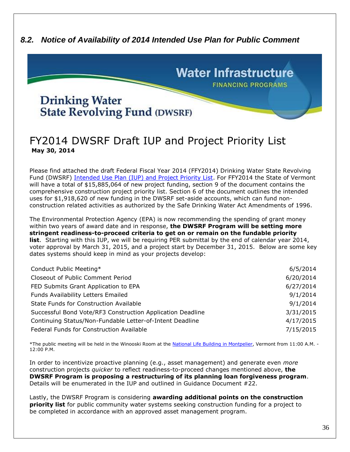#### <span id="page-35-0"></span>*8.2. Notice of Availability of 2014 Intended Use Plan for Public Comment*



## FY2014 DWSRF Draft IUP and Project Priority List **May 30, 2014**

Please find attached the draft Federal Fiscal Year 2014 (FFY2014) Drinking Water State Revolving Fund (DWSRF) [Intended Use Plan \(IUP\) and Project Priority List.](http://r20.rs6.net/tn.jsp?f=001p22whgmadvcQN57gDKoohTIefCOb8FUhtCLU8XmYeHlLEjT05Kt4AzDhwEsf4kexiI7b_eDuPiQQKWb79lvgukfiZIYCC-0BwAEixQgtpTrAZiQNVny2hA27aa08d5mvlDPjyUVXRerHpUuKh_HPLCyiXvLqJm9DanqwV5jHjuHYqQBOpRhGDfS_9V9HJXxdbqVp0mbB074tM7BCCMz0U2aUTVzOsaJOMpGbd1iPQInBbSzoROoNVpYouKqzLK2QDsZC0ttHX30=&c=XbEYQS0vQRFDRLJe-hm1MU3Q8d9eeZkHLrfUlSWutrBEMrCnmGCs3Q==&ch=0DiLsl348Ad0HYdmbGAYgmN0ejU4rpZu0TfgBvFt5Ibb1g8Sg69xzw==) For FFY2014 the State of Vermont will have a total of \$15,885,064 of new project funding, section 9 of the document contains the comprehensive construction project priority list. Section 6 of the document outlines the intended uses for \$1,918,620 of new funding in the DWSRF set-aside accounts, which can fund nonconstruction related activities as authorized by the Safe Drinking Water Act Amendments of 1996.

The Environmental Protection Agency (EPA) is now recommending the spending of grant money within two years of award date and in response, **the DWSRF Program will be setting more stringent readiness-to-proceed criteria to get on or remain on the fundable priority list**. Starting with this IUP, we will be requiring PER submittal by the end of calendar year 2014, voter approval by March 31, 2015, and a project start by December 31, 2015. Below are some key dates systems should keep in mind as your projects develop:

| Conduct Public Meeting*                                    | 6/5/2014  |
|------------------------------------------------------------|-----------|
| Closeout of Public Comment Period                          | 6/20/2014 |
| FED Submits Grant Application to EPA                       | 6/27/2014 |
| Funds Availability Letters Emailed                         | 9/1/2014  |
| State Funds for Construction Available                     | 9/1/2014  |
| Successful Bond Vote/RF3 Construction Application Deadline | 3/31/2015 |
| Continuing Status/Non-Fundable Letter-of-Intent Deadline   | 4/17/2015 |
| Federal Funds for Construction Available                   | 7/15/2015 |

\*The public meeting will be held in the Winooski Room at the [National Life Building](http://r20.rs6.net/tn.jsp?f=001p22whgmadvcQN57gDKoohTIefCOb8FUhtCLU8XmYeHlLEjT05Kt4A_NuPol6EoFUijKhxc412wRRB7NyIb0Yu29I-xXKTrfbdkH1sxKJuDR3dN7FD6NWunseOOPrE1lGvsjIV9SHFhK4iQqnKz2Z8wz6PmKRnmU_zlm14P4LRvJeLEsyRfm6vA5sXEkeP-LQ5MjLRmDs2bVMacly7z5-UN72yh9APjPznlIykLwSbQOZU4JIYqklc7aBouhUyHHtbCKwNr_6N_JETqaMymefXOnkxKNeBMuejN1nTQYDMHTIK-NkjjK-jsOMxS8BC0vu3oE_oYn4Wpe3O2VN1gOae3DFlCjnHoKSq3DoZg6yagb97AH8a4MKNYEA53uEGwe4BZczlEiTekcW9AOn_ueGD1VgnEgaChyrPe0A-Cdftr1uMGrGxPhJAk1eZIALRS2gYKODcrihYUIESCKcOEZZZ5bklKu6alZiD-gsqDpiS34l4WDjLPsG_DnEGBmxN1Sd&c=XbEYQS0vQRFDRLJe-hm1MU3Q8d9eeZkHLrfUlSWutrBEMrCnmGCs3Q==&ch=0DiLsl348Ad0HYdmbGAYgmN0ejU4rpZu0TfgBvFt5Ibb1g8Sg69xzw==) in Montpelier, Vermont from 11:00 A.M. -12:00 P.M.

In order to incentivize proactive planning (e.g., asset management) and generate even *more* construction projects *quicker* to reflect readiness-to-proceed changes mentioned above, **the DWSRF Program is proposing a restructuring of its planning loan forgiveness program**. Details will be enumerated in the IUP and outlined in Guidance Document #22.

Lastly, the DWSRF Program is considering **awarding additional points on the construction priority list** for public community water systems seeking construction funding for a project to be completed in accordance with an approved asset management program.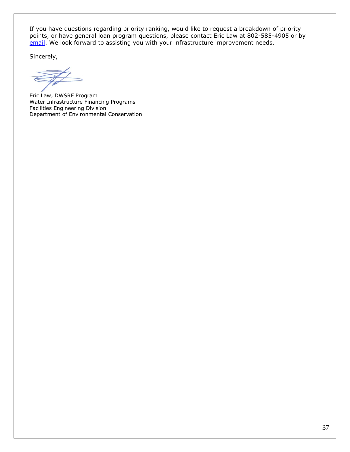If you have questions regarding priority ranking, would like to request a breakdown of priority points, or have general loan program questions, please contact Eric Law at 802-585-4905 or by [email.](mailto:eric.law@state.vt.us) We look forward to assisting you with your infrastructure improvement needs.

Sincerely,

Eric Law, DWSRF Program Water Infrastructure Financing Programs Facilities Engineering Division Department of Environmental Conservation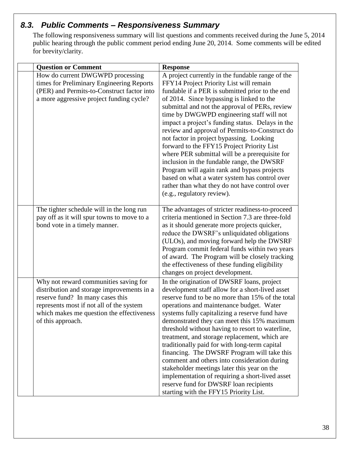#### <span id="page-37-0"></span>*8.3. Public Comments – Responsiveness Summary*

The following responsiveness summary will list questions and comments received during the June 5, 2014 public hearing through the public comment period ending June 20, 2014. Some comments will be edited for brevity/clarity.

| <b>Question or Comment</b>                                                                                                                                                                                                            | <b>Response</b>                                                                                                                                                                                                                                                                                                                                                                                                                                                                                                                                                                                                                                                                                                                                                            |  |  |  |
|---------------------------------------------------------------------------------------------------------------------------------------------------------------------------------------------------------------------------------------|----------------------------------------------------------------------------------------------------------------------------------------------------------------------------------------------------------------------------------------------------------------------------------------------------------------------------------------------------------------------------------------------------------------------------------------------------------------------------------------------------------------------------------------------------------------------------------------------------------------------------------------------------------------------------------------------------------------------------------------------------------------------------|--|--|--|
| How do current DWGWPD processing<br>times for Preliminary Engineering Reports<br>(PER) and Permits-to-Construct factor into<br>a more aggressive project funding cycle?                                                               | A project currently in the fundable range of the<br>FFY14 Project Priority List will remain<br>fundable if a PER is submitted prior to the end<br>of 2014. Since bypassing is linked to the<br>submittal and not the approval of PERs, review<br>time by DWGWPD engineering staff will not<br>impact a project's funding status. Delays in the<br>review and approval of Permits-to-Construct do<br>not factor in project bypassing. Looking<br>forward to the FFY15 Project Priority List<br>where PER submittal will be a prerequisite for<br>inclusion in the fundable range, the DWSRF<br>Program will again rank and bypass projects<br>based on what a water system has control over<br>rather than what they do not have control over<br>(e.g., regulatory review). |  |  |  |
| The tighter schedule will in the long run<br>pay off as it will spur towns to move to a<br>bond vote in a timely manner.                                                                                                              | The advantages of stricter readiness-to-proceed<br>criteria mentioned in Section 7.3 are three-fold<br>as it should generate more projects quicker,<br>reduce the DWSRF's unliquidated obligations<br>(ULOs), and moving forward help the DWSRF<br>Program commit federal funds within two years<br>of award. The Program will be closely tracking<br>the effectiveness of these funding eligibility<br>changes on project development.                                                                                                                                                                                                                                                                                                                                    |  |  |  |
| Why not reward communities saving for<br>distribution and storage improvements in a<br>reserve fund? In many cases this<br>represents most if not all of the system<br>which makes me question the effectiveness<br>of this approach. | In the origination of DWSRF loans, project<br>development staff allow for a short-lived asset<br>reserve fund to be no more than 15% of the total<br>operations and maintenance budget. Water<br>systems fully capitalizing a reserve fund have<br>demonstrated they can meet this 15% maximum<br>threshold without having to resort to waterline,<br>treatment, and storage replacement, which are<br>traditionally paid for with long-term capital<br>financing. The DWSRF Program will take this<br>comment and others into consideration during<br>stakeholder meetings later this year on the<br>implementation of requiring a short-lived asset<br>reserve fund for DWSRF loan recipients<br>starting with the FFY15 Priority List.                                  |  |  |  |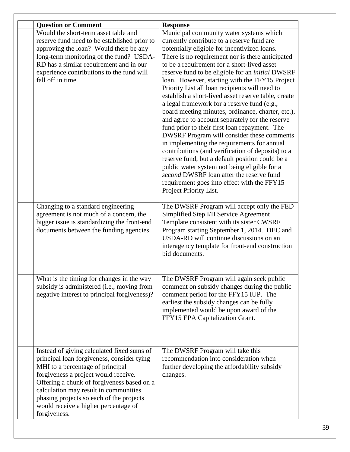| <b>Question or Comment</b>                   | <b>Response</b>                                         |
|----------------------------------------------|---------------------------------------------------------|
| Would the short-term asset table and         | Municipal community water systems which                 |
| reserve fund need to be established prior to | currently contribute to a reserve fund are              |
| approving the loan? Would there be any       | potentially eligible for incentivized loans.            |
| long-term monitoring of the fund? USDA-      | There is no requirement nor is there anticipated        |
| RD has a similar requirement and in our      | to be a requirement for a short-lived asset             |
| experience contributions to the fund will    | reserve fund to be eligible for an <i>initial</i> DWSRF |
| fall off in time.                            | loan. However, starting with the FFY15 Project          |
|                                              | Priority List all loan recipients will need to          |
|                                              | establish a short-lived asset reserve table, create     |
|                                              | a legal framework for a reserve fund (e.g.,             |
|                                              | board meeting minutes, ordinance, charter, etc.),       |
|                                              | and agree to account separately for the reserve         |
|                                              | fund prior to their first loan repayment. The           |
|                                              | DWSRF Program will consider these comments              |
|                                              | in implementing the requirements for annual             |
|                                              | contributions (and verification of deposits) to a       |
|                                              | reserve fund, but a default position could be a         |
|                                              | public water system not being eligible for a            |
|                                              | second DWSRF loan after the reserve fund                |
|                                              | requirement goes into effect with the FFY15             |
|                                              | Project Priority List.                                  |
|                                              |                                                         |
| Changing to a standard engineering           | The DWSRF Program will accept only the FED              |
| agreement is not much of a concern, the      | Simplified Step I/II Service Agreement                  |
| bigger issue is standardizing the front-end  | Template consistent with its sister CWSRF               |
| documents between the funding agencies.      | Program starting September 1, 2014. DEC and             |
|                                              | USDA-RD will continue discussions on an                 |
|                                              | interagency template for front-end construction         |
|                                              | bid documents.                                          |
|                                              |                                                         |
|                                              |                                                         |
| What is the timing for changes in the way    | The DWSRF Program will again seek public                |
| subsidy is administered (i.e., moving from   | comment on subsidy changes during the public            |
| negative interest to principal forgiveness)? | comment period for the FFY15 IUP. The                   |
|                                              | earliest the subsidy changes can be fully               |
|                                              | implemented would be upon award of the                  |
|                                              | FFY15 EPA Capitalization Grant.                         |
|                                              |                                                         |
|                                              |                                                         |
| Instead of giving calculated fixed sums of   | The DWSRF Program will take this                        |
| principal loan forgiveness, consider tying   | recommendation into consideration when                  |
| MHI to a percentage of principal             | further developing the affordability subsidy            |
| forgiveness a project would receive.         |                                                         |
|                                              | changes.                                                |
| Offering a chunk of forgiveness based on a   |                                                         |
| calculation may result in communities        |                                                         |
| phasing projects so each of the projects     |                                                         |
| would receive a higher percentage of         |                                                         |
| forgiveness.                                 |                                                         |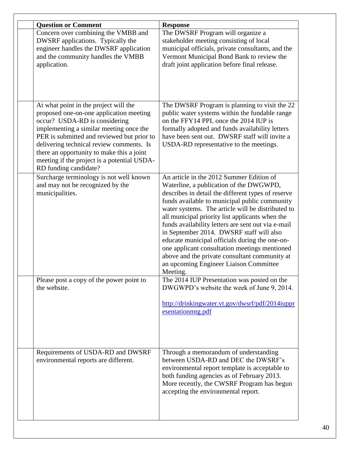| <b>Question or Comment</b>                                                                                                                                                                                                                                                                                                                                                  | <b>Response</b>                                                                                                                                                                                                                                                                                                                                                                                                                                                                                                                                                                                                |  |  |  |
|-----------------------------------------------------------------------------------------------------------------------------------------------------------------------------------------------------------------------------------------------------------------------------------------------------------------------------------------------------------------------------|----------------------------------------------------------------------------------------------------------------------------------------------------------------------------------------------------------------------------------------------------------------------------------------------------------------------------------------------------------------------------------------------------------------------------------------------------------------------------------------------------------------------------------------------------------------------------------------------------------------|--|--|--|
| Concern over combining the VMBB and<br>DWSRF applications. Typically the<br>engineer handles the DWSRF application<br>and the community handles the VMBB<br>application.                                                                                                                                                                                                    | The DWSRF Program will organize a<br>stakeholder meeting consisting of local<br>municipal officials, private consultants, and the<br>Vermont Municipal Bond Bank to review the<br>draft joint application before final release.                                                                                                                                                                                                                                                                                                                                                                                |  |  |  |
| At what point in the project will the<br>proposed one-on-one application meeting<br>occur? USDA-RD is considering<br>implementing a similar meeting once the<br>PER is submitted and reviewed but prior to<br>delivering technical review comments. Is<br>there an opportunity to make this a joint<br>meeting if the project is a potential USDA-<br>RD funding candidate? | The DWSRF Program is planning to visit the 22<br>public water systems within the fundable range<br>on the FFY14 PPL once the 2014 IUP is<br>formally adopted and funds availability letters<br>have been sent out. DWSRF staff will invite a<br>USDA-RD representative to the meetings.                                                                                                                                                                                                                                                                                                                        |  |  |  |
| Surcharge terminology is not well known<br>and may not be recognized by the<br>municipalities.                                                                                                                                                                                                                                                                              | An article in the 2012 Summer Edition of<br>Waterline, a publication of the DWGWPD,<br>describes in detail the different types of reserve<br>funds available to municipal public community<br>water systems. The article will be distributed to<br>all municipal priority list applicants when the<br>funds availability letters are sent out via e-mail<br>in September 2014. DWSRF staff will also<br>educate municipal officials during the one-on-<br>one applicant consultation meetings mentioned<br>above and the private consultant community at<br>an upcoming Engineer Liaison Committee<br>Meeting. |  |  |  |
| Please post a copy of the power point to<br>the website.                                                                                                                                                                                                                                                                                                                    | The 2014 IUP Presentation was posted on the<br>DWGWPD's website the week of June 9, 2014.<br>http://drinkingwater.vt.gov/dwsrf/pdf/2014iuppr<br>esentationmtg.pdf                                                                                                                                                                                                                                                                                                                                                                                                                                              |  |  |  |
| Requirements of USDA-RD and DWSRF<br>environmental reports are different.                                                                                                                                                                                                                                                                                                   | Through a memorandum of understanding<br>between USDA-RD and DEC the DWSRF's<br>environmental report template is acceptable to<br>both funding agencies as of February 2013.<br>More recently, the CWSRF Program has begun<br>accepting the environmental report.                                                                                                                                                                                                                                                                                                                                              |  |  |  |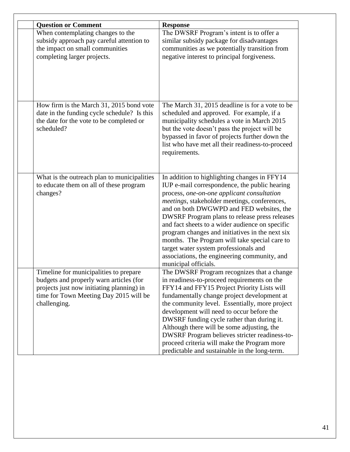| <b>Question or Comment</b>                                                                                                                                                               | <b>Response</b>                                                                                                                                                                                                                                                                                                                                                                                                                                                                                                                                                          |
|------------------------------------------------------------------------------------------------------------------------------------------------------------------------------------------|--------------------------------------------------------------------------------------------------------------------------------------------------------------------------------------------------------------------------------------------------------------------------------------------------------------------------------------------------------------------------------------------------------------------------------------------------------------------------------------------------------------------------------------------------------------------------|
| When contemplating changes to the<br>subsidy approach pay careful attention to<br>the impact on small communities<br>completing larger projects.                                         | The DWSRF Program's intent is to offer a<br>similar subsidy package for disadvantages<br>communities as we potentially transition from<br>negative interest to principal forgiveness.                                                                                                                                                                                                                                                                                                                                                                                    |
| How firm is the March 31, 2015 bond vote<br>date in the funding cycle schedule? Is this<br>the date for the vote to be completed or<br>scheduled?                                        | The March 31, 2015 deadline is for a vote to be<br>scheduled and approved. For example, if a<br>municipality schedules a vote in March 2015<br>but the vote doesn't pass the project will be<br>bypassed in favor of projects further down the<br>list who have met all their readiness-to-proceed<br>requirements.                                                                                                                                                                                                                                                      |
| What is the outreach plan to municipalities<br>to educate them on all of these program<br>changes?                                                                                       | In addition to highlighting changes in FFY14<br>IUP e-mail correspondence, the public hearing<br>process, one-on-one applicant consultation<br><i>meetings</i> , stakeholder meetings, conferences,<br>and on both DWGWPD and FED websites, the<br>DWSRF Program plans to release press releases<br>and fact sheets to a wider audience on specific<br>program changes and initiatives in the next six<br>months. The Program will take special care to<br>target water system professionals and<br>associations, the engineering community, and<br>municipal officials. |
| Timeline for municipalities to prepare<br>budgets and properly warn articles (for<br>projects just now initiating planning) in<br>time for Town Meeting Day 2015 will be<br>challenging. | The DWSRF Program recognizes that a change<br>in readiness-to-proceed requirements on the<br>FFY14 and FFY15 Project Priority Lists will<br>fundamentally change project development at<br>the community level. Essentially, more project<br>development will need to occur before the<br>DWSRF funding cycle rather than during it.<br>Although there will be some adjusting, the<br>DWSRF Program believes stricter readiness-to-<br>proceed criteria will make the Program more<br>predictable and sustainable in the long-term.                                      |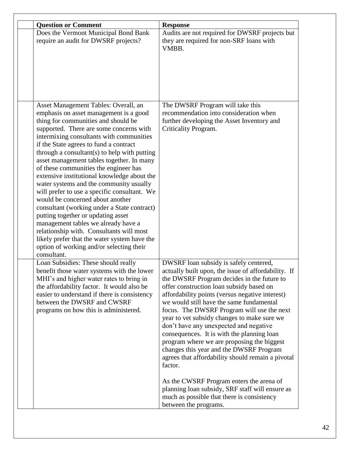| <b>Question or Comment</b>                                                                                                                                                                                                                                                                                                                                                                                                                                                                                                                                                                                                                                                                                                                                                                                                                                       | <b>Response</b>                                                                                                                                                                                                                                                                                                                                                                                                                                                                                                                                                                                                                                                                                                                                                                                            |  |  |  |
|------------------------------------------------------------------------------------------------------------------------------------------------------------------------------------------------------------------------------------------------------------------------------------------------------------------------------------------------------------------------------------------------------------------------------------------------------------------------------------------------------------------------------------------------------------------------------------------------------------------------------------------------------------------------------------------------------------------------------------------------------------------------------------------------------------------------------------------------------------------|------------------------------------------------------------------------------------------------------------------------------------------------------------------------------------------------------------------------------------------------------------------------------------------------------------------------------------------------------------------------------------------------------------------------------------------------------------------------------------------------------------------------------------------------------------------------------------------------------------------------------------------------------------------------------------------------------------------------------------------------------------------------------------------------------------|--|--|--|
| Does the Vermont Municipal Bond Bank<br>require an audit for DWSRF projects?                                                                                                                                                                                                                                                                                                                                                                                                                                                                                                                                                                                                                                                                                                                                                                                     | Audits are not required for DWSRF projects but<br>they are required for non-SRF loans with<br>VMBB.                                                                                                                                                                                                                                                                                                                                                                                                                                                                                                                                                                                                                                                                                                        |  |  |  |
| Asset Management Tables: Overall, an<br>emphasis on asset management is a good<br>thing for communities and should be<br>supported. There are some concerns with<br>intermixing consultants with communities<br>if the State agrees to fund a contract<br>through a consultant $(s)$ to help with putting<br>asset management tables together. In many<br>of these communities the engineer has<br>extensive institutional knowledge about the<br>water systems and the community usually<br>will prefer to use a specific consultant. We<br>would be concerned about another<br>consultant (working under a State contract)<br>putting together or updating asset<br>management tables we already have a<br>relationship with. Consultants will most<br>likely prefer that the water system have the<br>option of working and/or selecting their<br>consultant. | The DWSRF Program will take this<br>recommendation into consideration when<br>further developing the Asset Inventory and<br>Criticality Program.                                                                                                                                                                                                                                                                                                                                                                                                                                                                                                                                                                                                                                                           |  |  |  |
| Loan Subsidies: These should really<br>benefit those water systems with the lower<br>MHI's and higher water rates to bring in<br>the affordability factor. It would also be<br>easier to understand if there is consistency<br>between the DWSRF and CWSRF<br>programs on how this is administered.                                                                                                                                                                                                                                                                                                                                                                                                                                                                                                                                                              | DWSRF loan subsidy is safely centered,<br>actually built upon, the issue of affordability. If<br>the DWSRF Program decides in the future to<br>offer construction loan subsidy based on<br>affordability points (versus negative interest)<br>we would still have the same fundamental<br>focus. The DWSRF Program will use the next<br>year to vet subsidy changes to make sure we<br>don't have any unexpected and negative<br>consequences. It is with the planning loan<br>program where we are proposing the biggest<br>changes this year and the DWSRF Program<br>agrees that affordability should remain a pivotal<br>factor.<br>As the CWSRF Program enters the arena of<br>planning loan subsidy, SRF staff will ensure as<br>much as possible that there is consistency<br>between the programs. |  |  |  |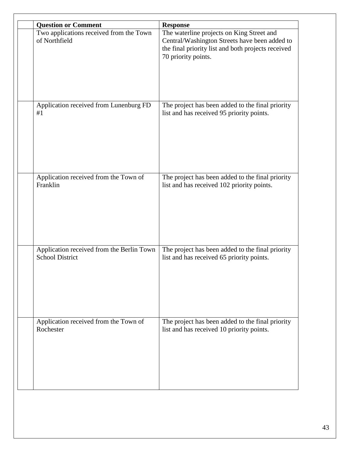| <b>Question or Comment</b>                               | <b>Response</b>                                                                                                                                                         |
|----------------------------------------------------------|-------------------------------------------------------------------------------------------------------------------------------------------------------------------------|
| Two applications received from the Town<br>of Northfield | The waterline projects on King Street and<br>Central/Washington Streets have been added to<br>the final priority list and both projects received<br>70 priority points. |
| Application received from Lunenburg FD                   | The project has been added to the final priority                                                                                                                        |
| #1                                                       | list and has received 95 priority points.                                                                                                                               |
| Application received from the Town of                    | The project has been added to the final priority                                                                                                                        |
| Franklin                                                 | list and has received 102 priority points.                                                                                                                              |
| Application received from the Berlin Town                | The project has been added to the final priority                                                                                                                        |
| <b>School District</b>                                   | list and has received 65 priority points.                                                                                                                               |
| Application received from the Town of                    | The project has been added to the final priority                                                                                                                        |
| Rochester                                                | list and has received 10 priority points.                                                                                                                               |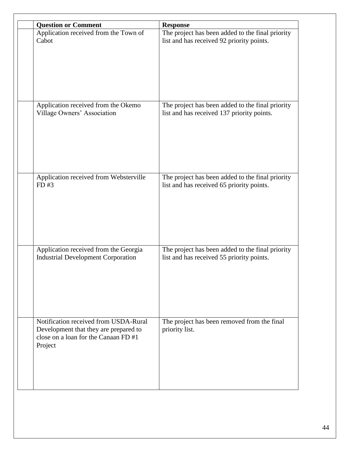| <b>Question or Comment</b>                                                                                                        | <b>Response</b>                                               |
|-----------------------------------------------------------------------------------------------------------------------------------|---------------------------------------------------------------|
| Application received from the Town of                                                                                             | The project has been added to the final priority              |
| Cabot                                                                                                                             | list and has received 92 priority points.                     |
| Application received from the Okemo                                                                                               | The project has been added to the final priority              |
| Village Owners' Association                                                                                                       | list and has received 137 priority points.                    |
| Application received from Websterville                                                                                            | The project has been added to the final priority              |
| FD#3                                                                                                                              | list and has received 65 priority points.                     |
| Application received from the Georgia                                                                                             | The project has been added to the final priority              |
| <b>Industrial Development Corporation</b>                                                                                         | list and has received 55 priority points.                     |
| Notification received from USDA-Rural<br>Development that they are prepared to<br>close on a loan for the Canaan FD #1<br>Project | The project has been removed from the final<br>priority list. |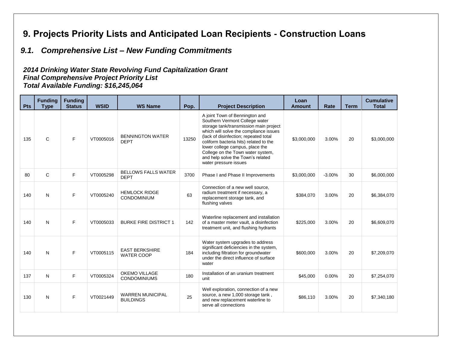# **9. Projects Priority Lists and Anticipated Loan Recipients - Construction Loans**

# *9.1. Comprehensive List – New Funding Commitments*

#### *2014 Drinking Water State Revolving Fund Capitalization Grant Final Comprehensive Project Priority List Total Available Funding: \$16,245,064*

<span id="page-44-1"></span><span id="page-44-0"></span>

| <b>Pts</b> | <b>Funding</b><br><b>Type</b> | <b>Funding</b><br><b>Status</b> | <b>WSID</b> | <b>WS Name</b>                              | Pop.  | <b>Project Description</b>                                                                                                                                                                                                                                                                                                                                                    | Loan<br><b>Amount</b> | Rate     | <b>Term</b> | <b>Cumulative</b><br><b>Total</b> |
|------------|-------------------------------|---------------------------------|-------------|---------------------------------------------|-------|-------------------------------------------------------------------------------------------------------------------------------------------------------------------------------------------------------------------------------------------------------------------------------------------------------------------------------------------------------------------------------|-----------------------|----------|-------------|-----------------------------------|
| 135        | $\mathsf{C}$                  | F                               | VT0005016   | <b>BENNINGTON WATER</b><br><b>DEPT</b>      | 13250 | A joint Town of Bennington and<br>Southern Vermont College water<br>storage tank/transmission main project<br>which will solve the compliance issues<br>(lack of disinfection; repeated total<br>coliform bacteria hits) related to the<br>lower college campus, place the<br>College on the Town water system,<br>and help solve the Town's related<br>water pressure issues | \$3,000,000           | 3.00%    | 20          | \$3,000,000                       |
| 80         | $\mathsf{C}$                  | F                               | VT0005298   | <b>BELLOWS FALLS WATER</b><br><b>DEPT</b>   | 3700  | Phase I and Phase II Improvements                                                                                                                                                                                                                                                                                                                                             | \$3,000,000           | $-3.00%$ | 30          | \$6,000,000                       |
| 140        | N                             | F                               | VT0005240   | <b>HEMLOCK RIDGE</b><br><b>CONDOMINIUM</b>  | 63    | Connection of a new well source.<br>radium treatment if necessary, a<br>replacement storage tank, and<br>flushing valves                                                                                                                                                                                                                                                      | \$384.070             | 3.00%    | 20          | \$6,384,070                       |
| 140        | N                             | F                               | VT0005033   | <b>BURKE FIRE DISTRICT 1</b>                | 142   | Waterline replacement and installation<br>of a master meter vault, a disinfection<br>treatment unit, and flushing hydrants                                                                                                                                                                                                                                                    | \$225,000             | 3.00%    | 20          | \$6,609,070                       |
| 140        | N                             | F                               | VT0005115   | <b>EAST BERKSHIRE</b><br><b>WATER COOP</b>  | 184   | Water system upgrades to address<br>significant deficiencies in the system,<br>including filtration for groundwater<br>under the direct influence of surface<br>water                                                                                                                                                                                                         | \$600,000             | 3.00%    | 20          | \$7,209,070                       |
| 137        | N                             | F.                              | VT0005324   | <b>OKEMO VILLAGE</b><br><b>CONDOMINIUMS</b> | 180   | Installation of an uranium treatment<br>unit                                                                                                                                                                                                                                                                                                                                  | \$45,000              | 0.00%    | 20          | \$7,254,070                       |
| 130        | N                             | F                               | VT0021449   | <b>WARREN MUNICIPAL</b><br><b>BUILDINGS</b> | 25    | Well exploration, connection of a new<br>source, a new 1,000 storage tank,<br>and new replacement waterline to<br>serve all connections                                                                                                                                                                                                                                       | \$86,110              | 3.00%    | 20          | \$7,340,180                       |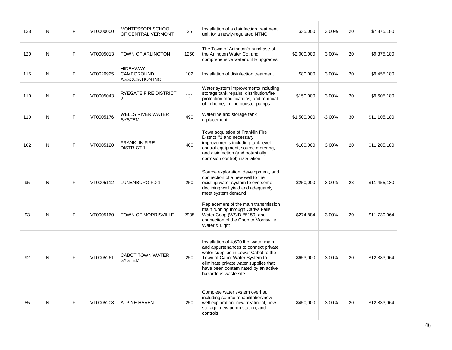| 128 | N         | F. | VT0000000 | MONTESSORI SCHOOL<br>OF CENTRAL VERMONT                 | 25   | Installation of a disinfection treatment<br>unit for a newly-regulated NTNC                                                                                                                                                                                     | \$35,000    | 3.00%    | 20 | \$7,375,180  |
|-----|-----------|----|-----------|---------------------------------------------------------|------|-----------------------------------------------------------------------------------------------------------------------------------------------------------------------------------------------------------------------------------------------------------------|-------------|----------|----|--------------|
| 120 | N         | F. | VT0005013 | <b>TOWN OF ARLINGTON</b>                                | 1250 | The Town of Arlington's purchase of<br>the Arlington Water Co. and<br>comprehensive water utility upgrades                                                                                                                                                      | \$2,000,000 | 3.00%    | 20 | \$9,375,180  |
| 115 | N         | F. | VT0020925 | <b>HIDEAWAY</b><br>CAMPGROUND<br><b>ASSOCIATION INC</b> | 102  | Installation of disinfection treatment                                                                                                                                                                                                                          | \$80,000    | 3.00%    | 20 | \$9,455,180  |
| 110 | N         | F  | VT0005043 | <b>RYEGATE FIRE DISTRICT</b><br>2                       | 131  | Water system improvements including<br>storage tank repairs, distribution/fire<br>protection modifications, and removal<br>of in-home, in-line booster pumps                                                                                                    | \$150,000   | 3.00%    | 20 | \$9,605,180  |
| 110 | N         | F  | VT0005176 | <b>WELLS RIVER WATER</b><br><b>SYSTEM</b>               | 490  | Waterline and storage tank<br>replacement                                                                                                                                                                                                                       | \$1,500,000 | $-3.00%$ | 30 | \$11,105,180 |
| 102 | N         | F. | VT0005120 | <b>FRANKLIN FIRE</b><br><b>DISTRICT 1</b>               | 400  | Town acquistion of Franklin Fire<br>District #1 and necessary<br>improvements including tank level<br>control equipment, source metering,<br>and disinfection (and potentially<br>corrosion control) installation                                               | \$100,000   | 3.00%    | 20 | \$11,205,180 |
| 95  | ${\sf N}$ | F  | VT0005112 | LUNENBURG FD 1                                          | 250  | Source exploration, development, and<br>connection of a new well to the<br>existing water system to overcome<br>declining well yield and adequately<br>meet system demand                                                                                       | \$250,000   | 3.00%    | 23 | \$11,455,180 |
| 93  | N         | F  | VT0005160 | TOWN OF MORRISVILLE                                     | 2935 | Replacement of the main transmission<br>main running through Cadys Falls<br>Water Coop (WSID #5159) and<br>connection of the Coop to Morrisville<br>Water & Light                                                                                               | \$274,884   | 3.00%    | 20 | \$11,730,064 |
| 92  | N         | F  | VT0005261 | <b>CABOT TOWN WATER</b><br><b>SYSTEM</b>                | 250  | Installation of 4,600 If of water main<br>and appurtenances to connect private<br>water supplies in Lower Cabot to the<br>Town of Cabot Water System to<br>eliminate private water supplies that<br>have been contaminated by an active<br>hazardous waste site | \$653,000   | 3.00%    | 20 | \$12,383,064 |
| 85  | N         | F. | VT0005208 | <b>ALPINE HAVEN</b>                                     | 250  | Complete water system overhaul<br>including source rehabilitation/new<br>well exploration, new treatment, new<br>storage, new pump station, and<br>controls                                                                                                     | \$450,000   | 3.00%    | 20 | \$12,833,064 |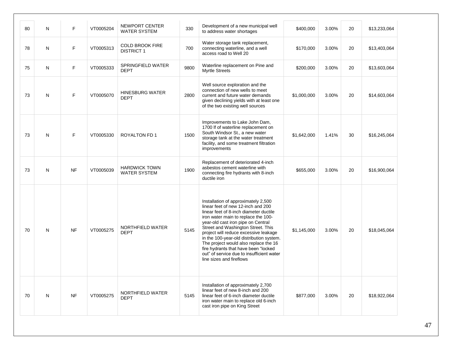| 80 | N | F         | VT0005204 | NEWPORT CENTER<br><b>WATER SYSTEM</b>       | 330  | Development of a new municipal well<br>to address water shortages                                                                                                                                                                                                                                                                                                                                                                                                                     | \$400,000   | 3.00% | 20 | \$13,233,064 |
|----|---|-----------|-----------|---------------------------------------------|------|---------------------------------------------------------------------------------------------------------------------------------------------------------------------------------------------------------------------------------------------------------------------------------------------------------------------------------------------------------------------------------------------------------------------------------------------------------------------------------------|-------------|-------|----|--------------|
| 78 | N | F         | VT0005313 | <b>COLD BROOK FIRE</b><br><b>DISTRICT 1</b> | 700  | Water storage tank replacement,<br>connecting waterline, and a well<br>access road to Well 20                                                                                                                                                                                                                                                                                                                                                                                         | \$170,000   | 3.00% | 20 | \$13,403,064 |
| 75 | N | F         | VT0005333 | SPRINGFIELD WATER<br><b>DEPT</b>            | 9800 | Waterline replacement on Pine and<br><b>Myrtle Streets</b>                                                                                                                                                                                                                                                                                                                                                                                                                            | \$200,000   | 3.00% | 20 | \$13,603,064 |
| 73 | N | F         | VT0005070 | <b>HINESBURG WATER</b><br><b>DEPT</b>       | 2800 | Well source exploration and the<br>connection of new wells to meet<br>current and future water demands<br>given declining yields with at least one<br>of the two existing well sources                                                                                                                                                                                                                                                                                                | \$1,000,000 | 3.00% | 20 | \$14,603,064 |
| 73 | N | F         | VT0005330 | <b>ROYALTON FD 1</b>                        | 1500 | Improvements to Lake John Dam,<br>1700 If of waterline replacement on<br>South Windsor St., a new water<br>storage tank at the water treatment<br>facility, and some treatment filtration<br>improvements                                                                                                                                                                                                                                                                             | \$1,642,000 | 1.41% | 30 | \$16,245,064 |
| 73 | N | <b>NF</b> | VT0005039 | <b>HARDWICK TOWN</b><br><b>WATER SYSTEM</b> | 1900 | Replacement of deteriorated 4-inch<br>asbestos cement waterline with<br>connecting fire hydrants with 8-inch<br>ductile iron                                                                                                                                                                                                                                                                                                                                                          | \$655,000   | 3.00% | 20 | \$16,900,064 |
| 70 | N | <b>NF</b> | VT0005275 | NORTHFIELD WATER<br><b>DEPT</b>             | 5145 | Installation of approximately 2,500<br>linear feet of new 12-inch and 200<br>linear feet of 8-inch diameter ductile<br>iron water main to replace the 100-<br>year-old cast iron pipe on Central<br>Street and Washington Street. This<br>project will reduce excessive leakage<br>in the 100-year-old distribution system.<br>The project would also replace the 16<br>fire hydrants that have been "locked<br>out" of service due to insufficient water<br>line sizes and fireflows | \$1,145,000 | 3.00% | 20 | \$18,045,064 |
| 70 | N | <b>NF</b> | VT0005275 | NORTHFIELD WATER<br><b>DEPT</b>             | 5145 | Installation of approximately 2,700<br>linear feet of new 8-inch and 200<br>linear feet of 6-inch diameter ductile<br>iron water main to replace old 6-inch<br>cast iron pipe on King Street                                                                                                                                                                                                                                                                                          | \$877,000   | 3.00% | 20 | \$18,922,064 |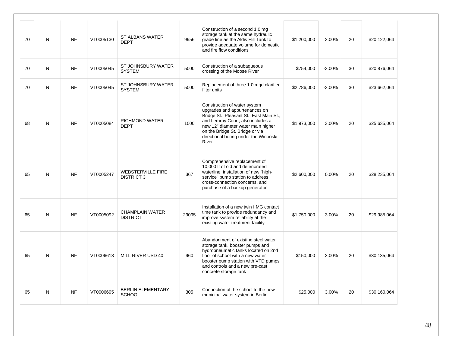| 70 | $\mathsf{N}$ | <b>NF</b> | VT0005130 | <b>ST ALBANS WATER</b><br><b>DEPT</b>         | 9956  | Construction of a second 1.0 mg<br>storage tank at the same hydraulic<br>grade line as the Aldis Hill Tank to<br>provide adequate volume for domestic<br>and fire flow conditions                                                                                         | \$1,200,000 | 3.00%    | 20 | \$20,122,064 |
|----|--------------|-----------|-----------|-----------------------------------------------|-------|---------------------------------------------------------------------------------------------------------------------------------------------------------------------------------------------------------------------------------------------------------------------------|-------------|----------|----|--------------|
| 70 | N            | <b>NF</b> | VT0005045 | ST JOHNSBURY WATER<br><b>SYSTEM</b>           | 5000  | Construction of a subaqueous<br>crossing of the Moose River                                                                                                                                                                                                               | \$754,000   | $-3.00%$ | 30 | \$20,876,064 |
| 70 | N            | <b>NF</b> | VT0005045 | ST JOHNSBURY WATER<br><b>SYSTEM</b>           | 5000  | Replacement of three 1.0 mgd clarifier<br>filter units                                                                                                                                                                                                                    | \$2,786,000 | $-3.00%$ | 30 | \$23,662,064 |
| 68 | N            | <b>NF</b> | VT0005084 | <b>RICHMOND WATER</b><br><b>DEPT</b>          | 1000  | Construction of water system<br>upgrades and appurtenances on<br>Bridge St., Pleasant St., East Main St.,<br>and Lemroy Court; also includes a<br>new 12" diameter water main higher<br>on the Bridge St. Bridge or via<br>directional boring under the Winooski<br>River | \$1,973,000 | 3.00%    | 20 | \$25,635,064 |
| 65 | N            | <b>NF</b> | VT0005247 | <b>WEBSTERVILLE FIRE</b><br><b>DISTRICT 3</b> | 367   | Comprehensive replacement of<br>10,000 If of old and deteriorated<br>waterline, installation of new "high-<br>service" pump station to address<br>cross-connection concerns, and<br>purchase of a backup generator                                                        | \$2,600,000 | 0.00%    | 20 | \$28,235,064 |
| 65 | N            | <b>NF</b> | VT0005092 | <b>CHAMPLAIN WATER</b><br><b>DISTRICT</b>     | 29095 | Installation of a new twin I MG contact<br>time tank to provide redundancy and<br>improve system reliability at the<br>existing water treatment facility                                                                                                                  | \$1,750,000 | 3.00%    | 20 | \$29,985,064 |
| 65 | N            | <b>NF</b> | VT0006618 | MILL RIVER USD 40                             | 960   | Abandonment of existing steel water<br>storage tank, booster pumps and<br>hydropneumatic tanks located on 2nd<br>floor of school with a new water<br>booster pump station with VFD pumps<br>and controls and a new pre-cast<br>concrete storage tank                      | \$150,000   | 3.00%    | 20 | \$30,135,064 |
| 65 | N            | <b>NF</b> | VT0006695 | <b>BERLIN ELEMENTARY</b><br><b>SCHOOL</b>     | 305   | Connection of the school to the new<br>municipal water system in Berlin                                                                                                                                                                                                   | \$25,000    | 3.00%    | 20 | \$30,160,064 |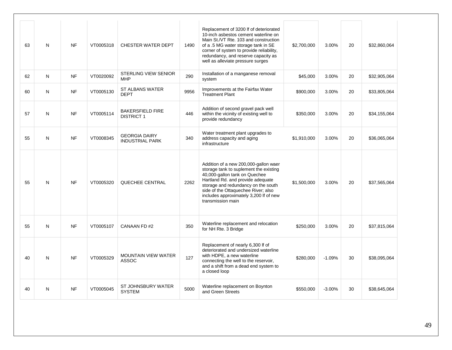| 63 | N | <b>NF</b> | VT0005318 | CHESTER WATER DEPT                             | 1490 | Replacement of 3200 If of deteriorated<br>10-inch asbestos cement waterline on<br>Main St./VT Rte. 103 and construction<br>of a .5 MG water storage tank in SE<br>corner of system to provide reliability,<br>redundancy, and reserve capacity as<br>well as alleviate pressure surges             | \$2,700,000 | 3.00%    | 20 | \$32,860,064 |
|----|---|-----------|-----------|------------------------------------------------|------|----------------------------------------------------------------------------------------------------------------------------------------------------------------------------------------------------------------------------------------------------------------------------------------------------|-------------|----------|----|--------------|
| 62 | N | <b>NF</b> | VT0020092 | <b>STERLING VIEW SENIOR</b><br><b>MHP</b>      | 290  | Installation of a manganese removal<br>system                                                                                                                                                                                                                                                      | \$45,000    | 3.00%    | 20 | \$32,905,064 |
| 60 | N | <b>NF</b> | VT0005130 | <b>ST ALBANS WATER</b><br><b>DEPT</b>          | 9956 | Improvements at the Fairfax Water<br><b>Treatment Plant</b>                                                                                                                                                                                                                                        | \$900,000   | 3.00%    | 20 | \$33,805,064 |
| 57 | N | <b>NF</b> | VT0005114 | <b>BAKERSFIELD FIRE</b><br><b>DISTRICT 1</b>   | 446  | Addition of second gravel pack well<br>within the vicinity of existing well to<br>provide redundancy                                                                                                                                                                                               | \$350,000   | 3.00%    | 20 | \$34,155,064 |
| 55 | N | <b>NF</b> | VT0008345 | <b>GEORGIA DAIRY</b><br><b>INDUSTRIAL PARK</b> | 340  | Water treatment plant upgrades to<br>address capacity and aging<br>infrastructure                                                                                                                                                                                                                  | \$1,910,000 | 3.00%    | 20 | \$36,065,064 |
| 55 | N | <b>NF</b> | VT0005320 | QUECHEE CENTRAL                                | 2262 | Addition of a new 200,000-gallon waer<br>storage tank to suplement the existing<br>40,000-gallon tank on Quechee<br>Hartland Rd. and provide adequate<br>storage and redundancy on the south<br>side of the Ottaquechee River; also<br>includes approximately 3,200 If of new<br>transmission main | \$1,500,000 | 3.00%    | 20 | \$37,565,064 |
| 55 | N | <b>NF</b> | VT0005107 | CANAAN FD#2                                    | 350  | Waterline replacement and relocation<br>for NH Rte. 3 Bridge                                                                                                                                                                                                                                       | \$250,000   | 3.00%    | 20 | \$37,815,064 |
| 40 | N | <b>NF</b> | VT0005329 | <b>MOUNTAIN VIEW WATER</b><br><b>ASSOC</b>     | 127  | Replacement of nearly 6,300 lf of<br>deteriorated and undersized waterline<br>with HDPE, a new waterline<br>connecting the well to the reservoir,<br>and a shift from a dead end system to<br>a closed loop                                                                                        | \$280,000   | $-1.09%$ | 30 | \$38,095,064 |
| 40 | N | <b>NF</b> | VT0005045 | ST JOHNSBURY WATER<br><b>SYSTEM</b>            | 5000 | Waterline replacement on Boynton<br>and Green Streets                                                                                                                                                                                                                                              | \$550,000   | $-3.00%$ | 30 | \$38,645,064 |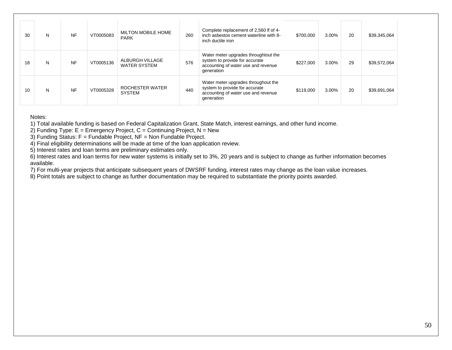| 30 | N | <b>NF</b> | VT0005083 | <b>MILTON MOBILE HOME</b><br><b>PARK</b> | 260 | Complete replacement of 2,560 lf of 4-<br>inch asbestos cement waterline with 8-<br>inch ductile iron                       | \$700,000 | 3.00% | 20 | \$39,345,064 |
|----|---|-----------|-----------|------------------------------------------|-----|-----------------------------------------------------------------------------------------------------------------------------|-----------|-------|----|--------------|
| 18 | N | <b>NF</b> | VT0005136 | ALBURGH VILLAGE<br><b>WATER SYSTEM</b>   | 576 | Water meter upgrades throughtout the<br>system to provide for accurate<br>accounting of water use and revenue<br>generation | \$227,000 | 3.00% | 29 | \$39,572,064 |
| 10 | N | <b>NF</b> | VT0005328 | ROCHESTER WATER<br><b>SYSTEM</b>         | 440 | Water meter upgrades throughout the<br>system to provide for accurate<br>accounting of water use and revenue<br>generation  | \$119,000 | 3.00% | 20 | \$39,691,064 |

Notes:

1) Total available funding is based on Federal Capitalization Grant, State Match, interest earnings, and other fund income.

2) Funding Type:  $E = E$ mergency Project,  $C =$  Continuing Project,  $N =$  New

3) Funding Status: F = Fundable Project, NF = Non Fundable Project.

4) Final eligibility determinations will be made at time of the loan application review.

5) Interest rates and loan terms are preliminary estimates only.

6) Interest rates and loan terms for new water systems is initially set to 3%, 20 years and is subject to change as further information becomes available.

7) For multi-year projects that anticipate subsequent years of DWSRF funding, interest rates may change as the loan value increases.

8) Point totals are subject to change as further documentation may be required to substantiate the priority points awarded.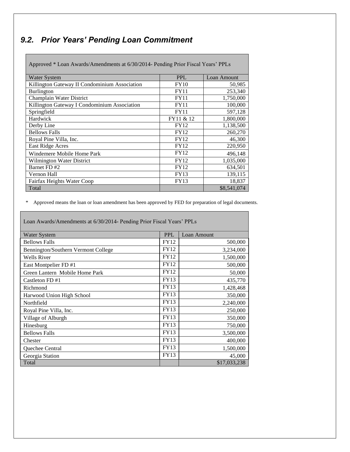# <span id="page-50-0"></span>*9.2. Prior Years' Pending Loan Commitment*

L

| Approved * Loan Awards/Amendments at 6/30/2014- Pending Prior Fiscal Years' PPLs |             |             |
|----------------------------------------------------------------------------------|-------------|-------------|
| Water System                                                                     | <b>PPL</b>  | Loan Amount |
| Killington Gateway II Condominium Association                                    | <b>FY10</b> | 50,985      |
| <b>Burlington</b>                                                                | <b>FY11</b> | 253,340     |
| Champlain Water District                                                         | <b>FY11</b> | 1,750,000   |
| Killington Gateway I Condominium Association                                     | <b>FY11</b> | 100,000     |
| Springfield                                                                      | <b>FY11</b> | 597,128     |
| Hardwick                                                                         | FY11 & 12   | 1,800,000   |
| Derby Line                                                                       | <b>FY12</b> | 1,138,500   |
| <b>Bellows Falls</b>                                                             | <b>FY12</b> | 260,270     |
| Royal Pine Villa, Inc.                                                           | <b>FY12</b> | 46,300      |
| East Ridge Acres                                                                 | <b>FY12</b> | 220,950     |
| Windemere Mobile Home Park                                                       | <b>FY12</b> | 496,148     |
| Wilmington Water District                                                        | <b>FY12</b> | 1,035,000   |
| Barnet FD#2                                                                      | <b>FY12</b> | 634,501     |
| Vernon Hall                                                                      | <b>FY13</b> | 139,115     |
| Fairfax Heights Water Coop                                                       | <b>FY13</b> | 18,837      |
| Total                                                                            |             | \$8,541,074 |

\* Approved means the loan or loan amendment has been approved by FED for preparation of legal documents.

| Loan Awards/Amendments at 0/30/2014- Fending Frior Fiscal Teats FFLS |             |              |
|----------------------------------------------------------------------|-------------|--------------|
| Water System                                                         | <b>PPL</b>  | Loan Amount  |
| <b>Bellows Falls</b>                                                 | <b>FY12</b> | 500,000      |
| Bennington/Southern Vermont College                                  | <b>FY12</b> | 3,234,000    |
| <b>Wells River</b>                                                   | <b>FY12</b> | 1,500,000    |
| East Montpelier FD #1                                                | <b>FY12</b> | 500,000      |
| Green Lantern Mobile Home Park                                       | FY12        | 50,000       |
| Castleton FD #1                                                      | FY13        | 435,770      |
| Richmond                                                             | FY13        | 1,428,468    |
| Harwood Union High School                                            | <b>FY13</b> | 350,000      |
| Northfield                                                           | <b>FY13</b> | 2,240,000    |
| Royal Pine Villa, Inc.                                               | <b>FY13</b> | 250,000      |
| Village of Alburgh                                                   | FY13        | 350,000      |
| Hinesburg                                                            | FY13        | 750,000      |
| <b>Bellows Falls</b>                                                 | <b>FY13</b> | 3,500,000    |
| Chester                                                              | <b>FY13</b> | 400,000      |
| Quechee Central                                                      | FY13        | 1,500,000    |
| Georgia Station                                                      | FY13        | 45,000       |
| Total                                                                |             | \$17,033,238 |

 $6/30/2014$ - Pending Prior Fiscal Years' PPI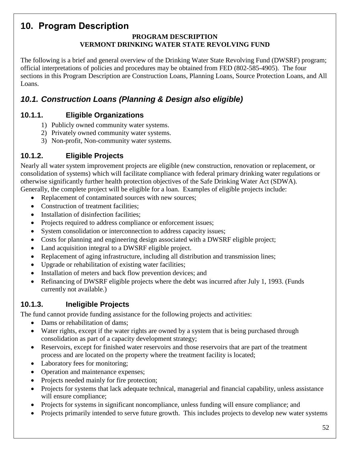#### <span id="page-51-0"></span>**10. Program Description PROGRAM DESCRIPTION VERMONT DRINKING WATER STATE REVOLVING FUND**

The following is a brief and general overview of the Drinking Water State Revolving Fund (DWSRF) program; official interpretations of policies and procedures may be obtained from FED (802-585-4905). The four sections in this Program Description are Construction Loans, Planning Loans, Source Protection Loans, and All Loans.

# <span id="page-51-1"></span>*10.1. Construction Loans (Planning & Design also eligible)*

#### **10.1.1. Eligible Organizations**

- <span id="page-51-2"></span>1) Publicly owned community water systems.
- 2) Privately owned community water systems.
- <span id="page-51-3"></span>3) Non-profit, Non-community water systems.

#### **10.1.2. Eligible Projects**

Nearly all water system improvement projects are eligible (new construction, renovation or replacement, or consolidation of systems) which will facilitate compliance with federal primary drinking water regulations or otherwise significantly further health protection objectives of the Safe Drinking Water Act (SDWA). Generally, the complete project will be eligible for a loan. Examples of eligible projects include:

- Replacement of contaminated sources with new sources;
- Construction of treatment facilities:
- Installation of disinfection facilities:
- Projects required to address compliance or enforcement issues;
- System consolidation or interconnection to address capacity issues;
- Costs for planning and engineering design associated with a DWSRF eligible project;
- Land acquisition integral to a DWSRF eligible project.
- Replacement of aging infrastructure, including all distribution and transmission lines;
- Upgrade or rehabilitation of existing water facilities;
- Installation of meters and back flow prevention devices; and
- <span id="page-51-4"></span> Refinancing of DWSRF eligible projects where the debt was incurred after July 1, 1993. (Funds currently not available.)

#### **10.1.3. Ineligible Projects**

The fund cannot provide funding assistance for the following projects and activities:

- Dams or rehabilitation of dams;
- Water rights, except if the water rights are owned by a system that is being purchased through consolidation as part of a capacity development strategy;
- Reservoirs, except for finished water reservoirs and those reservoirs that are part of the treatment process and are located on the property where the treatment facility is located;
- Laboratory fees for monitoring;
- Operation and maintenance expenses;
- Projects needed mainly for fire protection;
- Projects for systems that lack adequate technical, managerial and financial capability, unless assistance will ensure compliance;
- Projects for systems in significant noncompliance, unless funding will ensure compliance; and
- Projects primarily intended to serve future growth. This includes projects to develop new water systems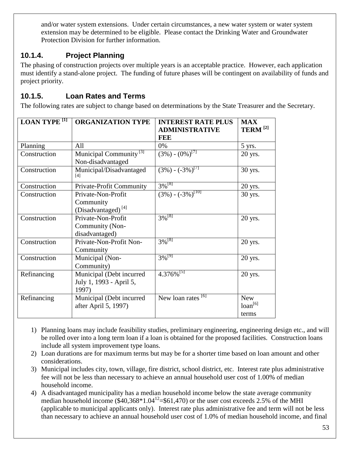<span id="page-52-0"></span>and/or water system extensions. Under certain circumstances, a new water system or water system extension may be determined to be eligible. Please contact the Drinking Water and Groundwater Protection Division for further information.

### **10.1.4. Project Planning**

The phasing of construction projects over multiple years is an acceptable practice. However, each application must identify a stand-alone project. The funding of future phases will be contingent on availability of funds and project priority.

#### <span id="page-52-1"></span>**10.1.5. Loan Rates and Terms**

The following rates are subject to change based on determinations by the State Treasurer and the Secretary.

| <b>LOAN TYPE</b> <sup>[1]</sup> | <b>ORGANIZATION TYPE</b>                                          | <b>INTEREST RATE PLUS</b><br><b>ADMINISTRATIVE</b><br><b>FEE</b> | <b>MAX</b><br>TERM <sup>[2]</sup>   |
|---------------------------------|-------------------------------------------------------------------|------------------------------------------------------------------|-------------------------------------|
| Planning                        | All                                                               | 0%                                                               | 5 yrs.                              |
| Construction                    | Municipal Community <sup>[3]</sup><br>Non-disadvantaged           | $(3\%) - (0\%)^{[7]}$                                            | 20 yrs.                             |
| Construction                    | Municipal/Disadvantaged<br>[4]                                    | $(3\%)$ - $(-3\%)^{[7]}$                                         | 30 yrs.                             |
| Construction                    | Private-Profit Community                                          | $3\%$ <sup>[8]</sup>                                             | 20 yrs.                             |
| Construction                    | Private-Non-Profit<br>Community<br>(Disadvantaged) <sup>[4]</sup> | $(3\%) - (-3\%)^{[10]}$                                          | 30 yrs.                             |
| Construction                    | Private-Non-Profit<br>Community (Non-<br>disadvantaged)           | $3\sqrt{8}$ <sup>[8]</sup>                                       | 20 yrs.                             |
| Construction                    | Private-Non-Profit Non-<br>Community                              | $3\sqrt{8}^{8}$                                                  | 20 yrs.                             |
| Construction                    | Municipal (Non-<br>Community)                                     | $3\%^{[9]}$                                                      | 20 yrs.                             |
| Refinancing                     | Municipal (Debt incurred<br>July 1, 1993 - April 5,<br>1997)      | $4.376\%^{[5]}$                                                  | 20 yrs.                             |
| Refinancing                     | Municipal (Debt incurred<br>after April 5, 1997)                  | New loan rates <sup>[6]</sup>                                    | <b>New</b><br>$loan^{[6]}$<br>terms |

- 1) Planning loans may include feasibility studies, preliminary engineering, engineering design etc., and will be rolled over into a long term loan if a loan is obtained for the proposed facilities. Construction loans include all system improvement type loans.
- 2) Loan durations are for maximum terms but may be for a shorter time based on loan amount and other considerations.
- 3) Municipal includes city, town, village, fire district, school district, etc. Interest rate plus administrative fee will not be less than necessary to achieve an annual household user cost of 1.00% of median household income.
- 4) A disadvantaged municipality has a median household income below the state average community median household income  $(\$40,368*1.04^{12} = \$61,470)$  or the user cost exceeds 2.5% of the MHI (applicable to municipal applicants only). Interest rate plus administrative fee and term will not be less than necessary to achieve an annual household user cost of 1.0% of median household income, and final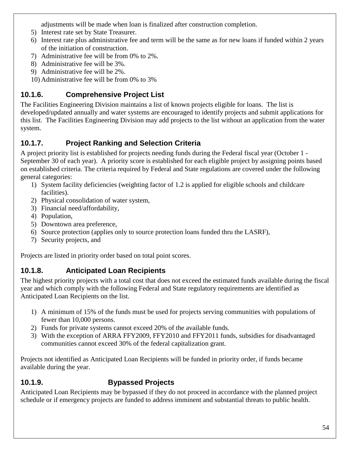adjustments will be made when loan is finalized after construction completion.

- 5) Interest rate set by State Treasurer.
- 6) Interest rate plus administrative fee and term will be the same as for new loans if funded within 2 years of the initiation of construction.
- 7) Administrative fee will be from 0% to 2%.
- 8) Administrative fee will be 3%.
- 9) Administrative fee will be 2%.
- <span id="page-53-0"></span>10) Administrative fee will be from 0% to 3%

# **10.1.6. Comprehensive Project List**

The Facilities Engineering Division maintains a list of known projects eligible for loans. The list is developed/updated annually and water systems are encouraged to identify projects and submit applications for this list. The Facilities Engineering Division may add projects to the list without an application from the water system.

# <span id="page-53-1"></span>**10.1.7. Project Ranking and Selection Criteria**

A project priority list is established for projects needing funds during the Federal fiscal year (October 1 - September 30 of each year). A priority score is established for each eligible project by assigning points based on established criteria. The criteria required by Federal and State regulations are covered under the following general categories:

- 1) System facility deficiencies (weighting factor of 1.2 is applied for eligible schools and childcare facilities).
- 2) Physical consolidation of water system,
- 3) Financial need/affordability,
- 4) Population,
- 5) Downtown area preference,
- 6) Source protection (applies only to source protection loans funded thru the LASRF),
- <span id="page-53-2"></span>7) Security projects, and

Projects are listed in priority order based on total point scores.

## **10.1.8. Anticipated Loan Recipients**

The highest priority projects with a total cost that does not exceed the estimated funds available during the fiscal year and which comply with the following Federal and State regulatory requirements are identified as Anticipated Loan Recipients on the list.

- 1) A minimum of 15% of the funds must be used for projects serving communities with populations of fewer than 10,000 persons.
- 2) Funds for private systems cannot exceed 20% of the available funds.
- 3) With the exception of ARRA FFY2009, FFY2010 and FFY2011 funds, subsidies for disadvantaged communities cannot exceed 30% of the federal capitalization grant.

Projects not identified as Anticipated Loan Recipients will be funded in priority order, if funds became available during the year.

# <span id="page-53-3"></span>**10.1.9. Bypassed Projects**

Anticipated Loan Recipients may be bypassed if they do not proceed in accordance with the planned project schedule or if emergency projects are funded to address imminent and substantial threats to public health.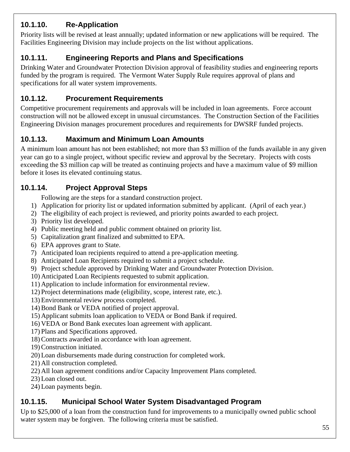## <span id="page-54-0"></span>**10.1.10. Re-Application**

Priority lists will be revised at least annually; updated information or new applications will be required. The Facilities Engineering Division may include projects on the list without applications.

### <span id="page-54-1"></span>**10.1.11. Engineering Reports and Plans and Specifications**

Drinking Water and Groundwater Protection Division approval of feasibility studies and engineering reports funded by the program is required. The Vermont Water Supply Rule requires approval of plans and specifications for all water system improvements.

#### <span id="page-54-2"></span>**10.1.12. Procurement Requirements**

Competitive procurement requirements and approvals will be included in loan agreements. Force account construction will not be allowed except in unusual circumstances. The Construction Section of the Facilities Engineering Division manages procurement procedures and requirements for DWSRF funded projects.

### <span id="page-54-3"></span>**10.1.13. Maximum and Minimum Loan Amounts**

A minimum loan amount has not been established; not more than \$3 million of the funds available in any given year can go to a single project, without specific review and approval by the Secretary. Projects with costs exceeding the \$3 million cap will be treated as continuing projects and have a maximum value of \$9 million before it loses its elevated continuing status.

#### **10.1.14. Project Approval Steps**

<span id="page-54-4"></span>Following are the steps for a standard construction project.

- 1) Application for priority list or updated information submitted by applicant. (April of each year.)
- 2) The eligibility of each project is reviewed, and priority points awarded to each project.
- 3) Priority list developed.
- 4) Public meeting held and public comment obtained on priority list.
- 5) Capitalization grant finalized and submitted to EPA.
- 6) EPA approves grant to State.
- 7) Anticipated loan recipients required to attend a pre-application meeting.
- 8) Anticipated Loan Recipients required to submit a project schedule.
- 9) Project schedule approved by Drinking Water and Groundwater Protection Division.
- 10) Anticipated Loan Recipients requested to submit application.
- 11) Application to include information for environmental review.
- 12) Project determinations made (eligibility, scope, interest rate, etc.).
- 13) Environmental review process completed.
- 14) Bond Bank or VEDA notified of project approval.
- 15) Applicant submits loan application to VEDA or Bond Bank if required.
- 16) VEDA or Bond Bank executes loan agreement with applicant.
- 17) Plans and Specifications approved.
- 18) Contracts awarded in accordance with loan agreement.
- 19) Construction initiated.
- 20) Loan disbursements made during construction for completed work.
- 21) All construction completed.
- 22) All loan agreement conditions and/or Capacity Improvement Plans completed.
- 23) Loan closed out.
- 24) Loan payments begin.

#### <span id="page-54-5"></span>**10.1.15. Municipal School Water System Disadvantaged Program**

Up to \$25,000 of a loan from the construction fund for improvements to a municipally owned public school water system may be forgiven. The following criteria must be satisfied.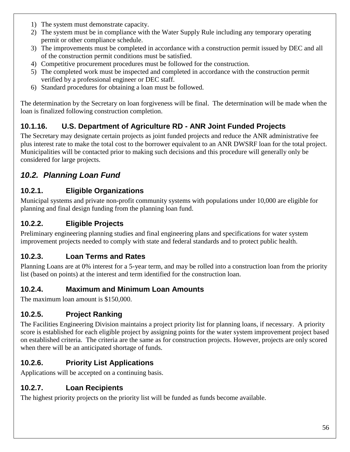- 1) The system must demonstrate capacity.
- 2) The system must be in compliance with the Water Supply Rule including any temporary operating permit or other compliance schedule.
- 3) The improvements must be completed in accordance with a construction permit issued by DEC and all of the construction permit conditions must be satisfied.
- 4) Competitive procurement procedures must be followed for the construction.
- 5) The completed work must be inspected and completed in accordance with the construction permit verified by a professional engineer or DEC staff.
- 6) Standard procedures for obtaining a loan must be followed.

The determination by the Secretary on loan forgiveness will be final. The determination will be made when the loan is finalized following construction completion.

### <span id="page-55-0"></span>**10.1.16. U.S. Department of Agriculture RD - ANR Joint Funded Projects**

The Secretary may designate certain projects as joint funded projects and reduce the ANR administrative fee plus interest rate to make the total cost to the borrower equivalent to an ANR DWSRF loan for the total project. Municipalities will be contacted prior to making such decisions and this procedure will generally only be considered for large projects.

# <span id="page-55-1"></span>*10.2. Planning Loan Fund*

### <span id="page-55-2"></span>**10.2.1. Eligible Organizations**

Municipal systems and private non-profit community systems with populations under 10,000 are eligible for planning and final design funding from the planning loan fund.

### <span id="page-55-3"></span>**10.2.2. Eligible Projects**

Preliminary engineering planning studies and final engineering plans and specifications for water system improvement projects needed to comply with state and federal standards and to protect public health.

#### <span id="page-55-4"></span>**10.2.3. Loan Terms and Rates**

Planning Loans are at 0% interest for a 5-year term, and may be rolled into a construction loan from the priority list (based on points) at the interest and term identified for the construction loan.

#### <span id="page-55-5"></span>**10.2.4. Maximum and Minimum Loan Amounts**

The maximum loan amount is \$150,000.

#### <span id="page-55-6"></span>**10.2.5. Project Ranking**

The Facilities Engineering Division maintains a project priority list for planning loans, if necessary. A priority score is established for each eligible project by assigning points for the water system improvement project based on established criteria. The criteria are the same as for construction projects. However, projects are only scored when there will be an anticipated shortage of funds.

## <span id="page-55-7"></span>**10.2.6. Priority List Applications**

Applications will be accepted on a continuing basis.

# <span id="page-55-8"></span>**10.2.7. Loan Recipients**

The highest priority projects on the priority list will be funded as funds become available.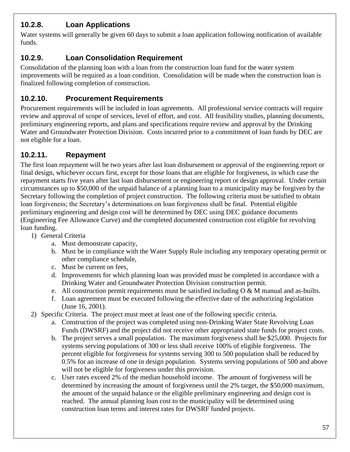### <span id="page-56-0"></span>**10.2.8. Loan Applications**

Water systems will generally be given 60 days to submit a loan application following notification of available funds.

#### <span id="page-56-1"></span>**10.2.9. Loan Consolidation Requirement**

Consolidation of the planning loan with a loan from the construction loan fund for the water system improvements will be required as a loan condition. Consolidation will be made when the construction loan is finalized following completion of construction.

#### <span id="page-56-2"></span>**10.2.10. Procurement Requirements**

Procurement requirements will be included in loan agreements. All professional service contracts will require review and approval of scope of services, level of effort, and cost. All feasibility studies, planning documents, preliminary engineering reports, and plans and specifications require review and approval by the Drinking Water and Groundwater Protection Division. Costs incurred prior to a commitment of loan funds by DEC are not eligible for a loan.

#### <span id="page-56-3"></span>**10.2.11. Repayment**

The first loan repayment will be two years after last loan disbursement or approval of the engineering report or final design, whichever occurs first, except for those loans that are eligible for forgiveness, in which case the repayment starts five years after last loan disbursement or engineering report or design approval. Under certain circumstances up to \$50,000 of the unpaid balance of a planning loan to a municipality may be forgiven by the Secretary following the completion of project construction. The following criteria must be satisfied to obtain loan forgiveness; the Secretary's determinations on loan forgiveness shall be final. Potential eligible preliminary engineering and design cost will be determined by DEC using DEC guidance documents (Engineering Fee Allowance Curve) and the completed documented construction cost eligible for revolving loan funding.

- 1) General Criteria
	- a. Must demonstrate capacity,
	- b. Must be in compliance with the Water Supply Rule including any temporary operating permit or other compliance schedule,
	- c. Must be current on fees,
	- d. Improvements for which planning loan was provided must be completed in accordance with a Drinking Water and Groundwater Protection Division construction permit.
	- e. All construction permit requirements must be satisfied including  $\overline{O} \& M$  manual and as-builts.
	- f. Loan agreement must be executed following the effective date of the authorizing legislation (June 16, 2001).
- 2) Specific Criteria. The project must meet at least one of the following specific criteria.
	- a. Construction of the project was completed using non-Drinking Water State Revolving Loan Funds (DWSRF) and the project did not receive other appropriated state funds for project costs.
	- b. The project serves a small population. The maximum forgiveness shall be \$25,000. Projects for systems serving populations of 300 or less shall receive 100% of eligible forgiveness. The percent eligible for forgiveness for systems serving 300 to 500 population shall be reduced by 0.5% for an increase of one in design population. Systems serving populations of 500 and above will not be eligible for forgiveness under this provision.
	- c. User rates exceed 2% of the median household income. The amount of forgiveness will be determined by increasing the amount of forgiveness until the 2% target, the \$50,000 maximum, the amount of the unpaid balance or the eligible preliminary engineering and design cost is reached. The annual planning loan cost to the municipality will be determined using construction loan terms and interest rates for DWSRF funded projects.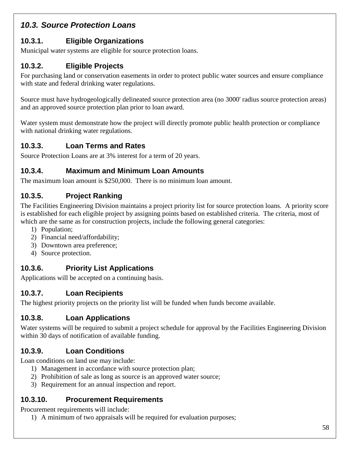# <span id="page-57-0"></span>*10.3. Source Protection Loans*

## <span id="page-57-1"></span>**10.3.1. Eligible Organizations**

Municipal water systems are eligible for source protection loans.

## <span id="page-57-2"></span>**10.3.2. Eligible Projects**

For purchasing land or conservation easements in order to protect public water sources and ensure compliance with state and federal drinking water regulations.

Source must have hydrogeologically delineated source protection area (no 3000' radius source protection areas) and an approved source protection plan prior to loan award.

Water system must demonstrate how the project will directly promote public health protection or compliance with national drinking water regulations.

# <span id="page-57-3"></span>**10.3.3. Loan Terms and Rates**

Source Protection Loans are at 3% interest for a term of 20 years.

### <span id="page-57-4"></span>**10.3.4. Maximum and Minimum Loan Amounts**

The maximum loan amount is \$250,000. There is no minimum loan amount.

## <span id="page-57-5"></span>**10.3.5. Project Ranking**

The Facilities Engineering Division maintains a project priority list for source protection loans. A priority score is established for each eligible project by assigning points based on established criteria. The criteria, most of which are the same as for construction projects, include the following general categories:

- 1) Population;
- 2) Financial need/affordability;
- 3) Downtown area preference;
- <span id="page-57-6"></span>4) Source protection.

# **10.3.6. Priority List Applications**

Applications will be accepted on a continuing basis.

#### <span id="page-57-7"></span>**10.3.7. Loan Recipients**

The highest priority projects on the priority list will be funded when funds become available.

## <span id="page-57-8"></span>**10.3.8. Loan Applications**

Water systems will be required to submit a project schedule for approval by the Facilities Engineering Division within 30 days of notification of available funding.

# **10.3.9. Loan Conditions**

Loan conditions on land use may include:

- <span id="page-57-9"></span>1) Management in accordance with source protection plan;
- 2) Prohibition of sale as long as source is an approved water source;
- <span id="page-57-10"></span>3) Requirement for an annual inspection and report.

#### **10.3.10. Procurement Requirements**

Procurement requirements will include:

1) A minimum of two appraisals will be required for evaluation purposes;